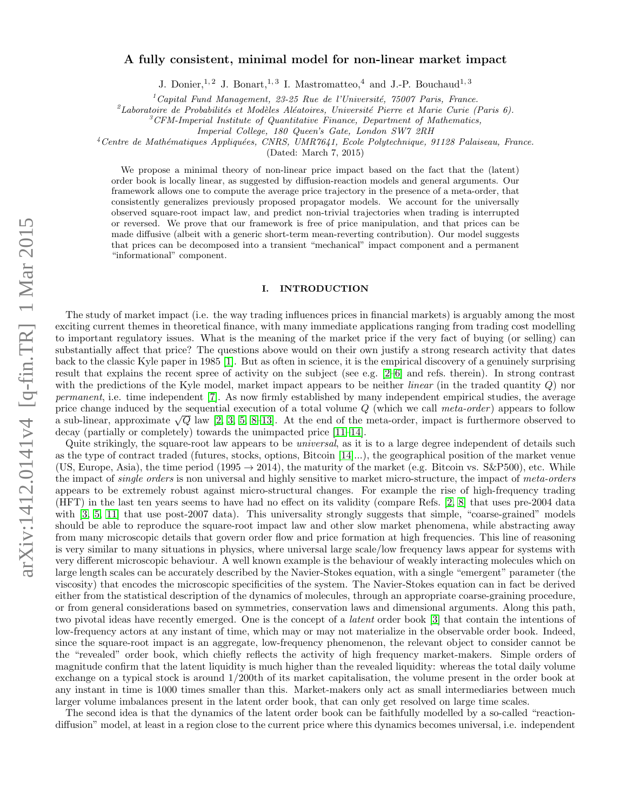# A fully consistent, minimal model for non-linear market impact

J. Donier, <sup>1, 2</sup> J. Bonart, <sup>1, 3</sup> I. Mastromatteo, <sup>4</sup> and J.-P. Bouchaud<sup>1, 3</sup>

 $1^1$ Capital Fund Management, 23-25 Rue de l'Université, 75007 Paris, France.

<sup>2</sup>Laboratoire de Probabilités et Modèles Aléatoires, Université Pierre et Marie Curie (Paris 6).

 ${}^{3}$ CFM-Imperial Institute of Quantitative Finance, Department of Mathematics,

Imperial College, 180 Queen's Gate, London SW7 2RH

 $4$ Centre de Mathématiques Appliquées, CNRS, UMR7641, Ecole Polytechnique, 91128 Palaiseau, France.

(Dated: March 7, 2015)

We propose a minimal theory of non-linear price impact based on the fact that the (latent) order book is locally linear, as suggested by diffusion-reaction models and general arguments. Our framework allows one to compute the average price trajectory in the presence of a meta-order, that consistently generalizes previously proposed propagator models. We account for the universally observed square-root impact law, and predict non-trivial trajectories when trading is interrupted or reversed. We prove that our framework is free of price manipulation, and that prices can be made diffusive (albeit with a generic short-term mean-reverting contribution). Our model suggests that prices can be decomposed into a transient "mechanical" impact component and a permanent "informational" component.

# I. INTRODUCTION

The study of market impact (i.e. the way trading influences prices in financial markets) is arguably among the most exciting current themes in theoretical finance, with many immediate applications ranging from trading cost modelling to important regulatory issues. What is the meaning of the market price if the very fact of buying (or selling) can substantially affect that price? The questions above would on their own justify a strong research activity that dates back to the classic Kyle paper in 1985 [\[1\]](#page-18-0). But as often in science, it is the empirical discovery of a genuinely surprising result that explains the recent spree of activity on the subject (see e.g. [\[2–](#page-18-1)[6\]](#page-18-2) and refs. therein). In strong contrast with the predictions of the Kyle model, market impact appears to be neither *linear* (in the traded quantity  $Q$ ) nor permanent, i.e. time independent [\[7\]](#page-18-3). As now firmly established by many independent empirical studies, the average price change induced by the sequential execution of a total volume  $Q$  (which we call meta-order) appears to follow a sub-linear, approximate  $\sqrt{Q}$  law [\[2,](#page-18-1) [3,](#page-18-4) [5,](#page-18-5) [8–](#page-18-6)[13\]](#page-18-7). At the end of the meta-order, impact is furthermore observed to decay (partially or completely) towards the unimpacted price [\[11–](#page-18-8)[14\]](#page-18-9).

Quite strikingly, the square-root law appears to be *universal*, as it is to a large degree independent of details such as the type of contract traded (futures, stocks, options, Bitcoin [\[14\]](#page-18-9)...), the geographical position of the market venue (US, Europe, Asia), the time period (1995  $\rightarrow$  2014), the maturity of the market (e.g. Bitcoin vs. S&P500), etc. While the impact of *single orders* is non universal and highly sensitive to market micro-structure, the impact of meta-orders appears to be extremely robust against micro-structural changes. For example the rise of high-frequency trading (HFT) in the last ten years seems to have had no effect on its validity (compare Refs. [\[2,](#page-18-1) [8\]](#page-18-6) that uses pre-2004 data with [\[3,](#page-18-4) [5,](#page-18-5) [11\]](#page-18-8) that use post-2007 data). This universality strongly suggests that simple, "coarse-grained" models should be able to reproduce the square-root impact law and other slow market phenomena, while abstracting away from many microscopic details that govern order flow and price formation at high frequencies. This line of reasoning is very similar to many situations in physics, where universal large scale/low frequency laws appear for systems with very different microscopic behaviour. A well known example is the behaviour of weakly interacting molecules which on large length scales can be accurately described by the Navier-Stokes equation, with a single "emergent" parameter (the viscosity) that encodes the microscopic specificities of the system. The Navier-Stokes equation can in fact be derived either from the statistical description of the dynamics of molecules, through an appropriate coarse-graining procedure, or from general considerations based on symmetries, conservation laws and dimensional arguments. Along this path, two pivotal ideas have recently emerged. One is the concept of a latent order book [\[3\]](#page-18-4) that contain the intentions of low-frequency actors at any instant of time, which may or may not materialize in the observable order book. Indeed, since the square-root impact is an aggregate, low-frequency phenomenon, the relevant object to consider cannot be the "revealed" order book, which chiefly reflects the activity of high frequency market-makers. Simple orders of magnitude confirm that the latent liquidity is much higher than the revealed liquidity: whereas the total daily volume exchange on a typical stock is around 1/200th of its market capitalisation, the volume present in the order book at any instant in time is 1000 times smaller than this. Market-makers only act as small intermediaries between much larger volume imbalances present in the latent order book, that can only get resolved on large time scales.

The second idea is that the dynamics of the latent order book can be faithfully modelled by a so-called "reactiondiffusion" model, at least in a region close to the current price where this dynamics becomes universal, i.e. independent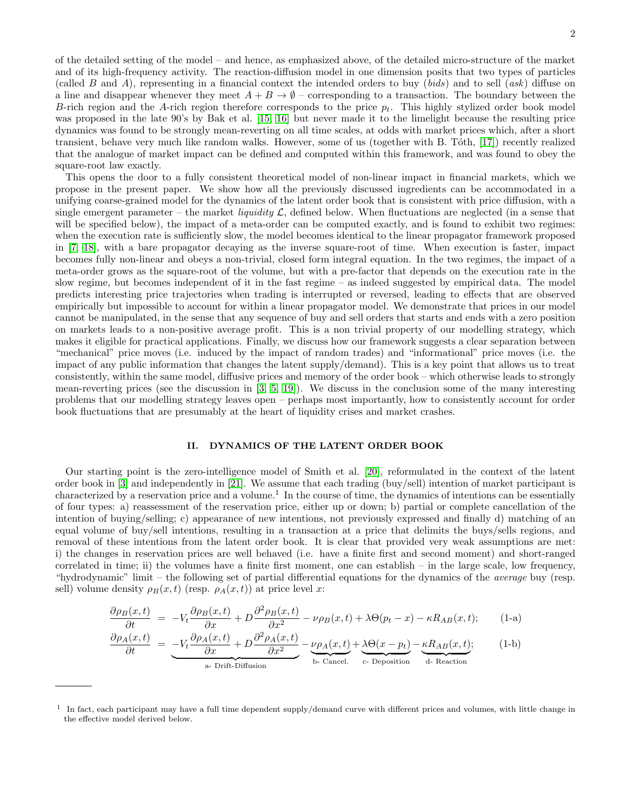of the detailed setting of the model – and hence, as emphasized above, of the detailed micro-structure of the market and of its high-frequency activity. The reaction-diffusion model in one dimension posits that two types of particles (called B and A), representing in a financial context the intended orders to buy (bids) and to sell (ask) diffuse on a line and disappear whenever they meet  $A + B \to \emptyset$  – corresponding to a transaction. The boundary between the B-rich region and the A-rich region therefore corresponds to the price  $p_t$ . This highly stylized order book model was proposed in the late 90's by Bak et al. [\[15,](#page-18-10) [16\]](#page-18-11) but never made it to the limelight because the resulting price dynamics was found to be strongly mean-reverting on all time scales, at odds with market prices which, after a short transient, behave very much like random walks. However, some of us (together with B. Tóth, [\[17\]](#page-18-12)) recently realized that the analogue of market impact can be defined and computed within this framework, and was found to obey the square-root law exactly.

This opens the door to a fully consistent theoretical model of non-linear impact in financial markets, which we propose in the present paper. We show how all the previously discussed ingredients can be accommodated in a unifying coarse-grained model for the dynamics of the latent order book that is consistent with price diffusion, with a single emergent parameter – the market *liquidity*  $\mathcal{L}$ , defined below. When fluctuations are neglected (in a sense that will be specified below), the impact of a meta-order can be computed exactly, and is found to exhibit two regimes: when the execution rate is sufficiently slow, the model becomes identical to the linear propagator framework proposed in [\[7,](#page-18-3) [18\]](#page-18-13), with a bare propagator decaying as the inverse square-root of time. When execution is faster, impact becomes fully non-linear and obeys a non-trivial, closed form integral equation. In the two regimes, the impact of a meta-order grows as the square-root of the volume, but with a pre-factor that depends on the execution rate in the slow regime, but becomes independent of it in the fast regime – as indeed suggested by empirical data. The model predicts interesting price trajectories when trading is interrupted or reversed, leading to effects that are observed empirically but impossible to account for within a linear propagator model. We demonstrate that prices in our model cannot be manipulated, in the sense that any sequence of buy and sell orders that starts and ends with a zero position on markets leads to a non-positive average profit. This is a non trivial property of our modelling strategy, which makes it eligible for practical applications. Finally, we discuss how our framework suggests a clear separation between "mechanical" price moves (i.e. induced by the impact of random trades) and "informational" price moves (i.e. the impact of any public information that changes the latent supply/demand). This is a key point that allows us to treat consistently, within the same model, diffusive prices and memory of the order book – which otherwise leads to strongly mean-reverting prices (see the discussion in [\[3,](#page-18-4) [5,](#page-18-5) [19\]](#page-18-14)). We discuss in the conclusion some of the many interesting problems that our modelling strategy leaves open – perhaps most importantly, how to consistently account for order book fluctuations that are presumably at the heart of liquidity crises and market crashes.

# <span id="page-1-1"></span>II. DYNAMICS OF THE LATENT ORDER BOOK

Our starting point is the zero-intelligence model of Smith et al. [\[20\]](#page-18-15), reformulated in the context of the latent order book in [\[3\]](#page-18-4) and independently in [\[21\]](#page-18-16). We assume that each trading (buy/sell) intention of market participant is characterized by a reservation price and a volume.<sup>1</sup> In the course of time, the dynamics of intentions can be essentially of four types: a) reassessment of the reservation price, either up or down; b) partial or complete cancellation of the intention of buying/selling; c) appearance of new intentions, not previously expressed and finally d) matching of an equal volume of buy/sell intentions, resulting in a transaction at a price that delimits the buys/sells regions, and removal of these intentions from the latent order book. It is clear that provided very weak assumptions are met: i) the changes in reservation prices are well behaved (i.e. have a finite first and second moment) and short-ranged correlated in time; ii) the volumes have a finite first moment, one can establish – in the large scale, low frequency, "hydrodynamic" limit – the following set of partial differential equations for the dynamics of the average buy (resp. sell) volume density  $\rho_B(x, t)$  (resp.  $\rho_A(x, t)$ ) at price level x:

$$
\frac{\partial \rho_B(x,t)}{\partial t} = -V_t \frac{\partial \rho_B(x,t)}{\partial x} + D \frac{\partial^2 \rho_B(x,t)}{\partial x^2} - \nu \rho_B(x,t) + \lambda \Theta(p_t - x) - \kappa R_{AB}(x,t); \tag{1-a}
$$

<span id="page-1-0"></span>
$$
\frac{\partial \rho_A(x,t)}{\partial t} = \underbrace{-V_t \frac{\partial \rho_A(x,t)}{\partial x} + D \frac{\partial^2 \rho_A(x,t)}{\partial x^2}}_{\text{a- Drift-Diffusion}} - \underbrace{\nu \rho_A(x,t)}_{\text{b- Cancel.}} + \underbrace{\lambda \Theta(x-p_t)}_{\text{c- Deposition}} - \underbrace{\kappa R_{AB}(x,t)}_{\text{d- Reaction}}; \tag{1-b}
$$

<sup>&</sup>lt;sup>1</sup> In fact, each participant may have a full time dependent supply/demand curve with different prices and volumes, with little change in the effective model derived below.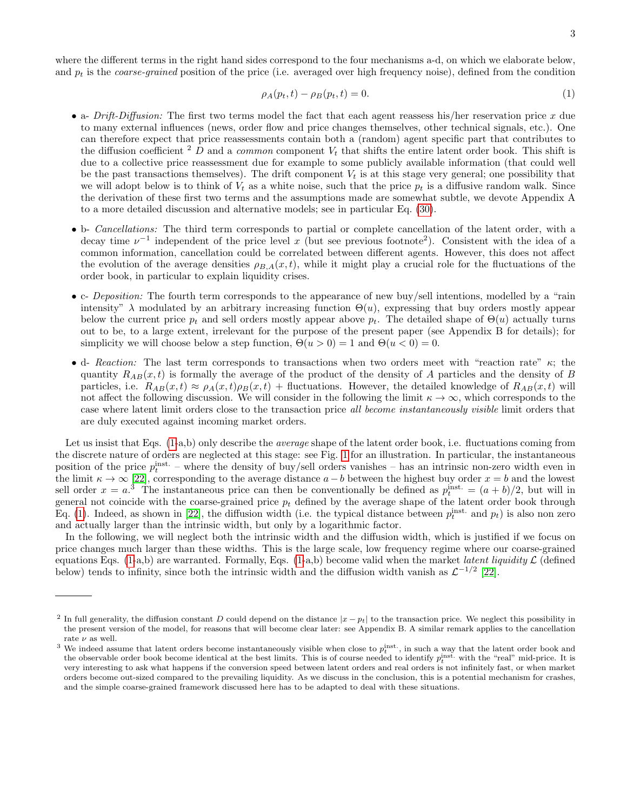where the different terms in the right hand sides correspond to the four mechanisms a-d, on which we elaborate below, and  $p_t$  is the *coarse-grained* position of the price (i.e. averaged over high frequency noise), defined from the condition

$$
\rho_A(p_t, t) - \rho_B(p_t, t) = 0.
$$
\n(1)

- a-  $Drift\text{-}Diffusion$ : The first two terms model the fact that each agent reassess his/her reservation price x due to many external influences (news, order flow and price changes themselves, other technical signals, etc.). One can therefore expect that price reassessments contain both a (random) agent specific part that contributes to the diffusion coefficient  $2$  D and a *common* component  $V_t$  that shifts the entire latent order book. This shift is due to a collective price reassessment due for example to some publicly available information (that could well be the past transactions themselves). The drift component  $V_t$  is at this stage very general; one possibility that we will adopt below is to think of  $V_t$  as a white noise, such that the price  $p_t$  is a diffusive random walk. Since the derivation of these first two terms and the assumptions made are somewhat subtle, we devote Appendix A to a more detailed discussion and alternative models; see in particular Eq. [\(30\)](#page-14-0).
- b- Cancellations: The third term corresponds to partial or complete cancellation of the latent order, with a decay time  $\nu^{-1}$  independent of the price level x (but see previous footnote<sup>2</sup>). Consistent with the idea of a common information, cancellation could be correlated between different agents. However, this does not affect the evolution of the average densities  $\rho_{BA}(x, t)$ , while it might play a crucial role for the fluctuations of the order book, in particular to explain liquidity crises.
- c- *Deposition:* The fourth term corresponds to the appearance of new buy/sell intentions, modelled by a "rain intensity"  $\lambda$  modulated by an arbitrary increasing function  $\Theta(u)$ , expressing that buy orders mostly appear below the current price  $p_t$  and sell orders mostly appear above  $p_t$ . The detailed shape of  $\Theta(u)$  actually turns out to be, to a large extent, irrelevant for the purpose of the present paper (see Appendix B for details); for simplicity we will choose below a step function,  $\Theta(u > 0) = 1$  and  $\Theta(u < 0) = 0$ .
- d- Reaction: The last term corresponds to transactions when two orders meet with "reaction rate"  $\kappa$ ; the quantity  $R_{AB}(x,t)$  is formally the average of the product of the density of A particles and the density of B particles, i.e.  $R_{AB}(x,t) \approx \rho_A(x,t)\rho_B(x,t)$  + fluctuations. However, the detailed knowledge of  $R_{AB}(x,t)$  will not affect the following discussion. We will consider in the following the limit  $\kappa \to \infty$ , which corresponds to the case where latent limit orders close to the transaction price all become instantaneously visible limit orders that are duly executed against incoming market orders.

Let us insist that Eqs. [\(1-](#page-1-0)a,b) only describe the *average* shape of the latent order book, i.e. fluctuations coming from the discrete nature of orders are neglected at this stage: see Fig. [1](#page-3-0) for an illustration. In particular, the instantaneous position of the price  $p_t^{\text{inst.}}$  – where the density of buy/sell orders vanishes – has an intrinsic non-zero width even in the limit  $\kappa \to \infty$  [\[22\]](#page-19-0), corresponding to the average distance  $a-b$  between the highest buy order  $x = b$  and the lowest sell order  $x = a^{3}$ . The instantaneous price can then be conventionally be defined as  $p_t^{\text{inst.}} = (a + b)/2$ , but will in general not coincide with the coarse-grained price  $p_t$  defined by the average shape of the latent order book through Eq. [\(1\)](#page-1-0). Indeed, as shown in [\[22\]](#page-19-0), the diffusion width (i.e. the typical distance between  $p_t^{\text{inst.}}$  and  $p_t$ ) is also non zero and actually larger than the intrinsic width, but only by a logarithmic factor.

In the following, we will neglect both the intrinsic width and the diffusion width, which is justified if we focus on price changes much larger than these widths. This is the large scale, low frequency regime where our coarse-grained equations Eqs. [\(1-](#page-1-0)a,b) are warranted. Formally, Eqs. (1-a,b) become valid when the market *latent liquidity*  $\mathcal L$  (defined below) tends to infinity, since both the intrinsic width and the diffusion width vanish as  $\mathcal{L}^{-1/2}$  [\[22\]](#page-19-0).

<sup>&</sup>lt;sup>2</sup> In full generality, the diffusion constant D could depend on the distance  $|x - p_t|$  to the transaction price. We neglect this possibility in the present version of the model, for reasons that will become clear later: see Appendix B. A similar remark applies to the cancellation rate  $\nu$  as well.

<sup>&</sup>lt;sup>3</sup> We indeed assume that latent orders become instantaneously visible when close to  $p_t^{\text{inst.}}$ , in such a way that the latent order book and the observable order book become identical at the best limits. This is of course needed to identify  $p_t^{\text{inst.}}$  with the "real" mid-price. It is very interesting to ask what happens if the conversion speed between latent orders and real orders is not infinitely fast, or when market orders become out-sized compared to the prevailing liquidity. As we discuss in the conclusion, this is a potential mechanism for crashes, and the simple coarse-grained framework discussed here has to be adapted to deal with these situations.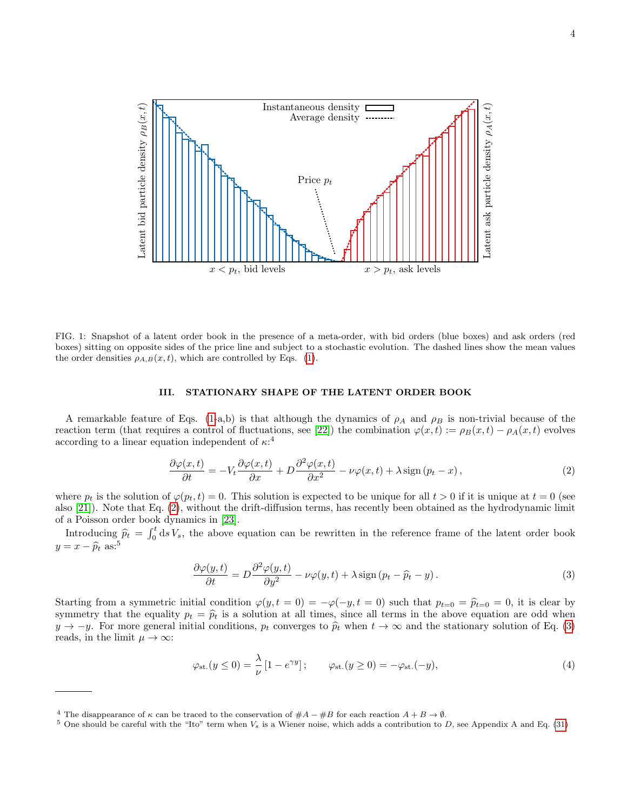

<span id="page-3-0"></span>FIG. 1: Snapshot of a latent order book in the presence of a meta-order, with bid orders (blue boxes) and ask orders (red boxes) sitting on opposite sides of the price line and subject to a stochastic evolution. The dashed lines show the mean values the order densities  $\rho_{A,B}(x,t)$ , which are controlled by Eqs. [\(1\)](#page-1-0).

#### III. STATIONARY SHAPE OF THE LATENT ORDER BOOK

A remarkable feature of Eqs. [\(1-](#page-1-0)a,b) is that although the dynamics of  $\rho_A$  and  $\rho_B$  is non-trivial because of the reaction term (that requires a control of fluctuations, see [\[22\]](#page-19-0)) the combination  $\varphi(x,t) := \rho_B(x,t) - \rho_A(x,t)$  evolves according to a linear equation independent of  $\kappa$ <sup>4</sup>

<span id="page-3-1"></span>
$$
\frac{\partial \varphi(x,t)}{\partial t} = -V_t \frac{\partial \varphi(x,t)}{\partial x} + D \frac{\partial^2 \varphi(x,t)}{\partial x^2} - \nu \varphi(x,t) + \lambda \operatorname{sign}(p_t - x),\tag{2}
$$

where  $p_t$  is the solution of  $\varphi(p_t, t) = 0$ . This solution is expected to be unique for all  $t > 0$  if it is unique at  $t = 0$  (see also [\[21\]](#page-18-16)). Note that Eq. [\(2\)](#page-3-1), without the drift-diffusion terms, has recently been obtained as the hydrodynamic limit of a Poisson order book dynamics in [\[23\]](#page-19-1).

Introducing  $\hat{p}_t = \int_0^t ds V_s$ , the above equation can be rewritten in the reference frame of the latent order book  $y = x - \widehat{p}_t$  as:<sup>5</sup>

<span id="page-3-2"></span>
$$
\frac{\partial \varphi(y,t)}{\partial t} = D \frac{\partial^2 \varphi(y,t)}{\partial y^2} - \nu \varphi(y,t) + \lambda \operatorname{sign} (p_t - \widehat{p}_t - y). \tag{3}
$$

Starting from a symmetric initial condition  $\varphi(y, t = 0) = -\varphi(-y, t = 0)$  such that  $p_{t=0} = \hat{p}_{t=0} = 0$ , it is clear by symmetry that the equality  $p_t = \hat{p}_t$  is a solution at all times, since all terms in the above equation are odd when  $y \to -y$ . For more general initial conditions,  $p_t$  converges to  $\hat{p}_t$  when  $t \to \infty$  and the stationary solution of Eq. [\(3\)](#page-3-2) reads, in the limit  $\mu \to \infty$ :

<span id="page-3-3"></span>
$$
\varphi_{\rm st.}(y \le 0) = \frac{\lambda}{\nu} \left[ 1 - e^{\gamma y} \right]; \qquad \varphi_{\rm st.}(y \ge 0) = -\varphi_{\rm st.}(-y), \tag{4}
$$

<sup>&</sup>lt;sup>4</sup> The disappearance of  $\kappa$  can be traced to the conservation of  $\#A - \#B$  for each reaction  $A + B \to \emptyset$ .

<sup>&</sup>lt;sup>5</sup> One should be careful with the "Ito" term when  $V_s$  is a Wiener noise, which adds a contribution to D, see Appendix A and Eq. [\(31\)](#page-14-1)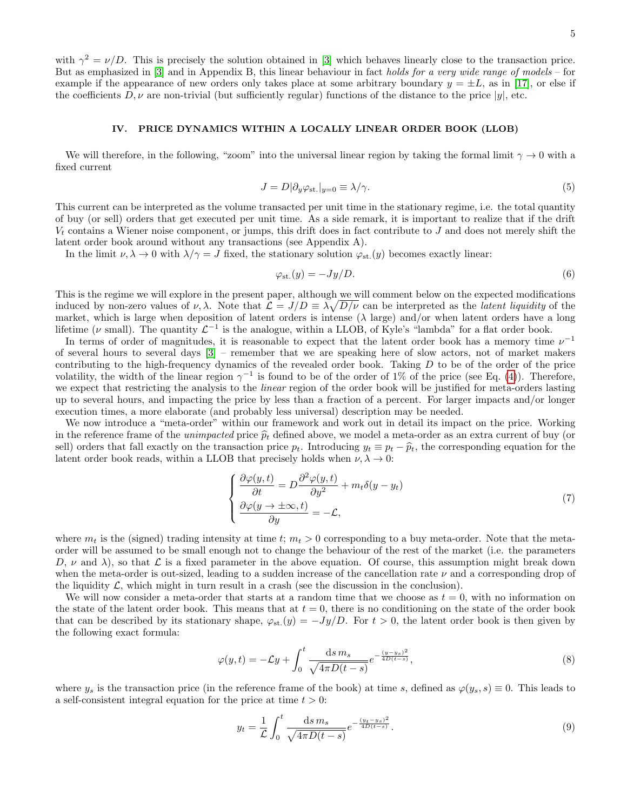with  $\gamma^2 = \nu/D$ . This is precisely the solution obtained in [\[3\]](#page-18-4) which behaves linearly close to the transaction price. But as emphasized in [\[3\]](#page-18-4) and in Appendix B, this linear behaviour in fact holds for a very wide range of models – for example if the appearance of new orders only takes place at some arbitrary boundary  $y = \pm L$ , as in [\[17\]](#page-18-12), or else if the coefficients  $D, \nu$  are non-trivial (but sufficiently regular) functions of the distance to the price  $|y|$ , etc.

### IV. PRICE DYNAMICS WITHIN A LOCALLY LINEAR ORDER BOOK (LLOB)

We will therefore, in the following, "zoom" into the universal linear region by taking the formal limit  $\gamma \to 0$  with a fixed current

$$
J = D|\partial_y \varphi_{\rm st.}|_{y=0} \equiv \lambda/\gamma. \tag{5}
$$

This current can be interpreted as the volume transacted per unit time in the stationary regime, i.e. the total quantity of buy (or sell) orders that get executed per unit time. As a side remark, it is important to realize that if the drift  $V_t$  contains a Wiener noise component, or jumps, this drift does in fact contribute to  $J$  and does not merely shift the latent order book around without any transactions (see Appendix A).

In the limit  $\nu, \lambda \to 0$  with  $\lambda/\gamma = J$  fixed, the stationary solution  $\varphi_{st}(y)$  becomes exactly linear:

$$
\varphi_{\rm st.}(y) = -Jy/D. \tag{6}
$$

This is the regime we will explore in the present paper, although we will comment below on the expected modifications induced by non-zero values of  $\nu$ ,  $\lambda$ . Note that  $\mathcal{L} = J/D \equiv \lambda \sqrt{D/\nu}$  can be interpreted as the *latent liquidity* of the market, which is large when deposition of latent orders is intense ( $\lambda$  large) and/or when latent orders have a long lifetime ( $\nu$  small). The quantity  $\mathcal{L}^{-1}$  is the analogue, within a LLOB, of Kyle's "lambda" for a flat order book.

In terms of order of magnitudes, it is reasonable to expect that the latent order book has a memory time  $\nu^{-1}$ of several hours to several days [\[3\]](#page-18-4) – remember that we are speaking here of slow actors, not of market makers contributing to the high-frequency dynamics of the revealed order book. Taking  $D$  to be of the order of the price volatility, the width of the linear region  $\gamma^{-1}$  is found to be of the order of 1% of the price (see Eq. [\(4\)](#page-3-3)). Therefore, we expect that restricting the analysis to the *linear* region of the order book will be justified for meta-orders lasting up to several hours, and impacting the price by less than a fraction of a percent. For larger impacts and/or longer execution times, a more elaborate (and probably less universal) description may be needed.

We now introduce a "meta-order" within our framework and work out in detail its impact on the price. Working in the reference frame of the *unimpacted* price  $\hat{p}_t$  defined above, we model a meta-order as an extra current of buy (or sell) orders that fall exactly on the transaction price  $p_t$ . Introducing  $y_t \equiv p_t - \hat{p}_t$ , the corresponding equation for the latent order book reads, within a LLOB that precisely holds when  $\nu, \lambda \to 0$ :

<span id="page-4-1"></span>
$$
\begin{cases}\n\frac{\partial \varphi(y,t)}{\partial t} = D \frac{\partial^2 \varphi(y,t)}{\partial y^2} + m_t \delta(y - y_t) \\
\frac{\partial \varphi(y \to \pm \infty, t)}{\partial y} = -\mathcal{L},\n\end{cases} \tag{7}
$$

where  $m_t$  is the (signed) trading intensity at time t;  $m_t > 0$  corresponding to a buy meta-order. Note that the metaorder will be assumed to be small enough not to change the behaviour of the rest of the market (i.e. the parameters D,  $\nu$  and  $\lambda$ ), so that  $\mathcal L$  is a fixed parameter in the above equation. Of course, this assumption might break down when the meta-order is out-sized, leading to a sudden increase of the cancellation rate  $\nu$  and a corresponding drop of the liquidity  $\mathcal{L}$ , which might in turn result in a crash (see the discussion in the conclusion).

We will now consider a meta-order that starts at a random time that we choose as  $t = 0$ , with no information on the state of the latent order book. This means that at  $t = 0$ , there is no conditioning on the state of the order book that can be described by its stationary shape,  $\varphi_{st.}(y) = -Jy/D$ . For  $t > 0$ , the latent order book is then given by the following exact formula:

$$
\varphi(y,t) = -\mathcal{L}y + \int_0^t \frac{\mathrm{d}s \, m_s}{\sqrt{4\pi D(t-s)}} e^{-\frac{(y-y_s)^2}{4D(t-s)}},\tag{8}
$$

where  $y_s$  is the transaction price (in the reference frame of the book) at time s, defined as  $\varphi(y_s, s) \equiv 0$ . This leads to a self-consistent integral equation for the price at time  $t > 0$ :

<span id="page-4-0"></span>
$$
y_t = \frac{1}{\mathcal{L}} \int_0^t \frac{\mathrm{d}s \, m_s}{\sqrt{4\pi D(t-s)}} e^{-\frac{(y_t - y_s)^2}{4D(t-s)}}.
$$
\n(9)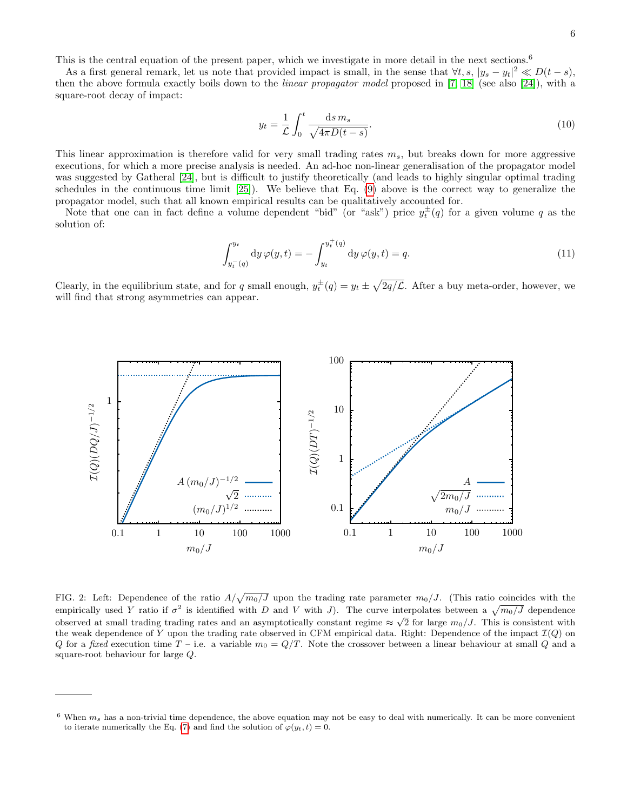This is the central equation of the present paper, which we investigate in more detail in the next sections.<sup>6</sup>

As a first general remark, let us note that provided impact is small, in the sense that  $\forall t, s, |y_s - y_t|^2 \ll D(t - s)$ , then the above formula exactly boils down to the *linear propagator model* proposed in [\[7,](#page-18-3) [18\]](#page-18-13) (see also [\[24\]](#page-19-2)), with a square-root decay of impact:

$$
y_t = \frac{1}{\mathcal{L}} \int_0^t \frac{\mathrm{d}s \, m_s}{\sqrt{4\pi D(t-s)}}.
$$
\n(10)

This linear approximation is therefore valid for very small trading rates  $m_s$ , but breaks down for more aggressive executions, for which a more precise analysis is needed. An ad-hoc non-linear generalisation of the propagator model was suggested by Gatheral [\[24\]](#page-19-2), but is difficult to justify theoretically (and leads to highly singular optimal trading schedules in the continuous time limit [\[25\]](#page-19-3)). We believe that Eq. [\(9\)](#page-4-0) above is the correct way to generalize the propagator model, such that all known empirical results can be qualitatively accounted for.

Note that one can in fact define a volume dependent "bid" (or "ask") price  $y_t^{\pm}(q)$  for a given volume q as the solution of:

$$
\int_{y_t^-}(q)}^{y_t} dy \,\varphi(y,t) = -\int_{y_t}^{y_t^+(q)} dy \,\varphi(y,t) = q. \tag{11}
$$

Clearly, in the equilibrium state, and for q small enough,  $y_t^{\pm}(q) = y_t \pm \sqrt{2q/\mathcal{L}}$ . After a buy meta-order, however, we will find that strong asymmetries can appear.



<span id="page-5-0"></span>FIG. 2: Left: Dependence of the ratio  $A/\sqrt{m_0/J}$  upon the trading rate parameter  $m_0/J$ . (This ratio coincides with the empirically used Y ratio if  $\sigma^2$  is identified with D and V with J). The curve interpolates between a  $\sqrt{m_0/J}$  dependence observed at small trading trading rates and an asymptotically constant regime  $\approx \sqrt{2}$  for large  $m_0/J$ . This is consistent with the weak dependence of Y upon the trading rate observed in CFM empirical data. Right: Dependence of the impact  $\mathcal{I}(Q)$  on Q for a fixed execution time  $T$  – i.e. a variable  $m_0 = Q/T$ . Note the crossover between a linear behaviour at small Q and a square-root behaviour for large Q.

 $6$  When  $m_s$  has a non-trivial time dependence, the above equation may not be easy to deal with numerically. It can be more convenient to iterate numerically the Eq. [\(7\)](#page-4-1) and find the solution of  $\varphi(y_t, t) = 0$ .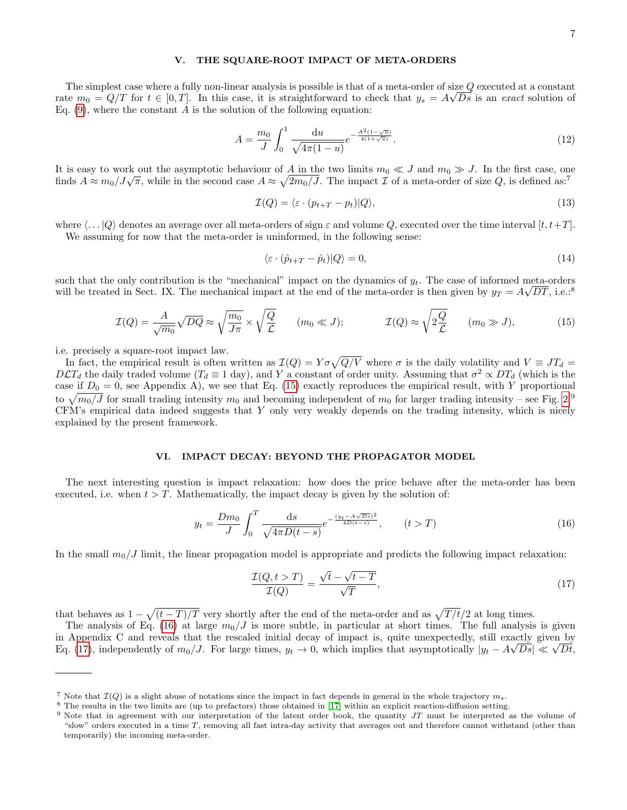# V. THE SQUARE-ROOT IMPACT OF META-ORDERS

The simplest case where a fully non-linear analysis is possible is that of a meta-order of size Q executed at a constant The simplest case where a tany non-inicial analysis is possible is that of a metal order of size  $\epsilon$  executed at a constant Eq.  $(9)$ , where the constant A is the solution of the following equation:

$$
A = \frac{m_0}{J} \int_0^1 \frac{\mathrm{d}u}{\sqrt{4\pi(1-u)}} e^{-\frac{A^2(1-\sqrt{u})}{4(1+\sqrt{u})}}.
$$
\n(12)

It is easy to work out the asymptotic behaviour of A in the two limits  $m_0 \ll J$  and  $m_0 \gg J$ . In the first case, one finds  $A \approx m_0/J\sqrt{\pi}$ , while in the second case  $A \approx \sqrt{2m_0/J}$ . The impact  $\mathcal I$  of a meta-order of size  $Q$ , is defined as:<sup>7</sup>

$$
\mathcal{I}(Q) = \langle \varepsilon \cdot (p_{t+T} - p_t) | Q \rangle,\tag{13}
$$

where  $\langle \ldots | Q \rangle$  denotes an average over all meta-orders of sign  $\varepsilon$  and volume Q, executed over the time interval  $[t, t+T]$ . We assuming for now that the meta-order is uninformed, in the following sense:

$$
\langle \varepsilon \cdot (\hat{p}_{t+T} - \hat{p}_t) | Q \rangle = 0, \tag{14}
$$

such that the only contribution is the "mechanical" impact on the dynamics of  $y_t$ . The case of informed meta-orders will be treated in Sect. IX. The mechanical impact at the end of the meta-order is then given by  $y_T = A\sqrt{DT}$ , i.e.:<sup>8</sup>

<span id="page-6-0"></span>
$$
\mathcal{I}(Q) = \frac{A}{\sqrt{m_0}} \sqrt{DQ} \approx \sqrt{\frac{m_0}{J\pi}} \times \sqrt{\frac{Q}{\mathcal{L}}} \qquad (m_0 \ll J); \qquad \mathcal{I}(Q) \approx \sqrt{2\frac{Q}{\mathcal{L}}} \qquad (m_0 \gg J), \tag{15}
$$

i.e. precisely a square-root impact law.

In fact, the empirical result is often written as  $\mathcal{I}(Q) = Y \sigma \sqrt{Q/V}$  where  $\sigma$  is the daily volatility and  $V \equiv JT_d =$  $D\mathcal{L}T_d$  the daily traded volume  $(T_d \equiv 1 \text{ day})$ , and Y a constant of order unity. Assuming that  $\sigma^2 \propto DT_d$  (which is the case if  $D_0 = 0$ , see Appendix A), we see that Eq. [\(15\)](#page-6-0) exactly reproduces the empirical result, with Y proportional to  $\sqrt{m_0/J}$  for small trading intensity  $m_0$  and becoming independent of  $m_0$  for larger trading intensity – see Fig. [2.](#page-5-0)<sup>9</sup> CFM's empirical data indeed suggests that Y only very weakly depends on the trading intensity, which is nicely explained by the present framework.

## VI. IMPACT DECAY: BEYOND THE PROPAGATOR MODEL

The next interesting question is impact relaxation: how does the price behave after the meta-order has been executed, i.e. when  $t > T$ . Mathematically, the impact decay is given by the solution of:

<span id="page-6-1"></span>
$$
y_t = \frac{Dm_0}{J} \int_0^T \frac{ds}{\sqrt{4\pi D(t-s)}} e^{-\frac{(y_t - A\sqrt{Ds})^2}{4D(t-s)}}, \qquad (t > T)
$$
 (16)

In the small  $m_0/J$  limit, the linear propagation model is appropriate and predicts the following impact relaxation:

<span id="page-6-2"></span>
$$
\frac{\mathcal{I}(Q, t > T)}{\mathcal{I}(Q)} = \frac{\sqrt{t} - \sqrt{t - T}}{\sqrt{T}},\tag{17}
$$

that behaves as  $1 - \sqrt{(t-T)/T}$  very shortly after the end of the meta-order and as  $\sqrt{T/t}/2$  at long times.

The analysis of Eq. [\(16\)](#page-6-1) at large  $m_0/J$  is more subtle, in particular at short times. The full analysis is given in Appendix C and reveals that the rescaled initial decay of impact is, quite unexpectedly, still exactly given by Eq. [\(17\)](#page-6-2), independently of  $m_0/J$ . For large times,  $y_t \to 0$ , which implies that asymptotically  $|y_t - A\sqrt{Ds}| \ll \sqrt{Dt}$ ,

<sup>&</sup>lt;sup>7</sup> Note that  $\mathcal{I}(Q)$  is a slight abuse of notations since the impact in fact depends in general in the whole trajectory  $m_s$ .

<sup>8</sup> The results in the two limits are (up to prefactors) those obtained in [\[17\]](#page-18-12) within an explicit reaction-diffusion setting.

 $9$  Note that in agreement with our interpretation of the latent order book, the quantity  $JT$  must be interpreted as the volume of "slow" orders executed in a time  $T$ , removing all fast intra-day activity that averages out and therefore cannot withstand (other than temporarily) the incoming meta-order.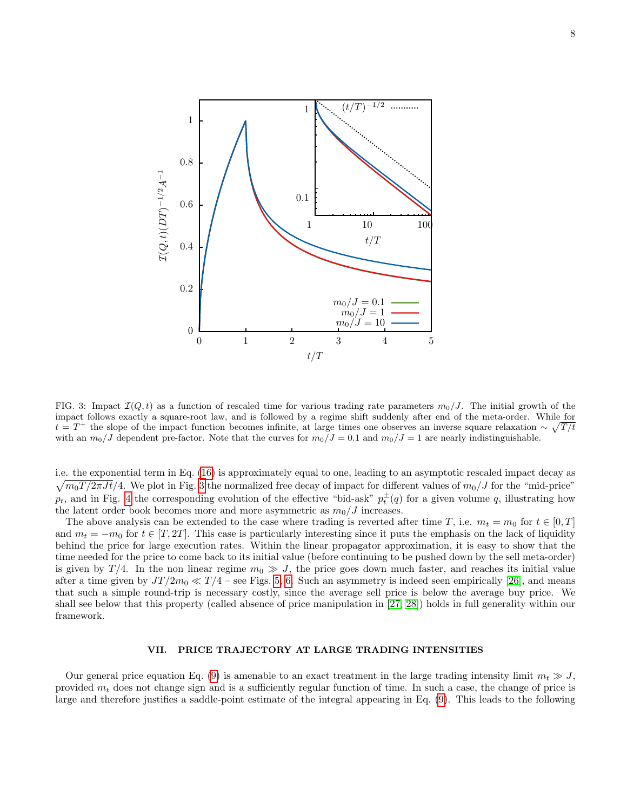

<span id="page-7-0"></span>FIG. 3: Impact  $\mathcal{I}(Q, t)$  as a function of rescaled time for various trading rate parameters  $m_0/J$ . The initial growth of the impact follows exactly a square-root law, and is followed by a regime shift suddenly after end of the meta-order. While for  $t = T^+$  the slope of the impact function becomes infinite, at large times one observes an inverse square relaxation  $\sim \sqrt{T/t}$ with an  $m_0/J$  dependent pre-factor. Note that the curves for  $m_0/J = 0.1$  and  $m_0/J = 1$  are nearly indistinguishable.

i.e. the exponential term in Eq. [\(16\)](#page-6-1) is approximately equal to one, leading to an asymptotic rescaled impact decay as  $\sqrt{m_0T/2\pi Jt}/4$ . We plot in Fig. [3](#page-7-0) the normalized free decay of impact for different values of  $m_0/J$  for the "mid-price"  $p_t$ , and in Fig. [4](#page-8-0) the corresponding evolution of the effective "bid-ask"  $p_t^{\pm}(q)$  for a given volume q, illustrating how the latent order book becomes more and more asymmetric as  $m_0/J$  increases.

The above analysis can be extended to the case where trading is reverted after time T, i.e.  $m_t = m_0$  for  $t \in [0, T]$ and  $m_t = -m_0$  for  $t \in [T, 2T]$ . This case is particularly interesting since it puts the emphasis on the lack of liquidity behind the price for large execution rates. Within the linear propagator approximation, it is easy to show that the time needed for the price to come back to its initial value (before continuing to be pushed down by the sell meta-order) is given by  $T/4$ . In the non linear regime  $m_0 \gg J$ , the price goes down much faster, and reaches its initial value after a time given by  $JT/2m_0 \ll T/4$  – see Figs. [5,](#page-9-0) [6.](#page-10-0) Such an asymmetry is indeed seen empirically [\[26\]](#page-19-4), and means that such a simple round-trip is necessary costly, since the average sell price is below the average buy price. We shall see below that this property (called absence of price manipulation in [\[27,](#page-19-5) [28\]](#page-19-6)) holds in full generality within our framework.

# VII. PRICE TRAJECTORY AT LARGE TRADING INTENSITIES

Our general price equation Eq. [\(9\)](#page-4-0) is amenable to an exact treatment in the large trading intensity limit  $m_t \gg J$ , provided  $m_t$  does not change sign and is a sufficiently regular function of time. In such a case, the change of price is large and therefore justifies a saddle-point estimate of the integral appearing in Eq. [\(9\)](#page-4-0). This leads to the following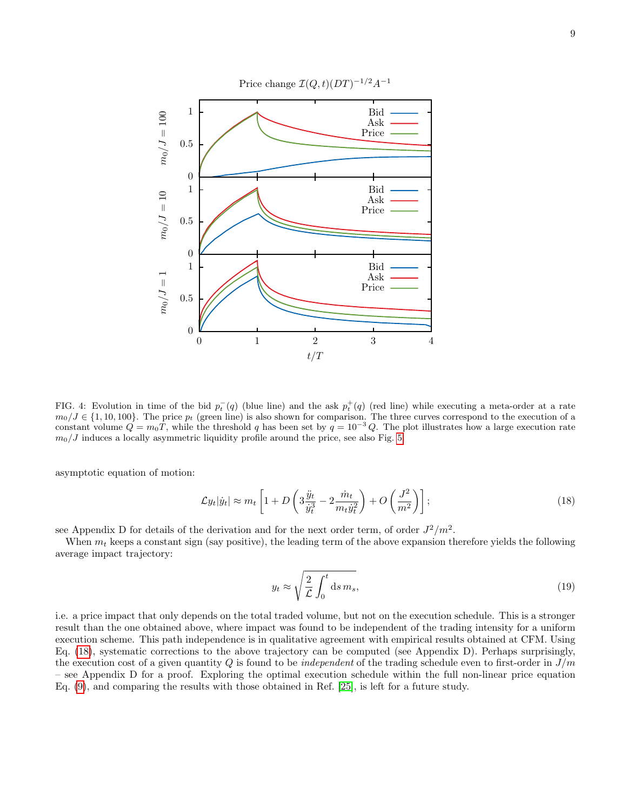

<span id="page-8-0"></span>FIG. 4: Evolution in time of the bid  $p_t^-(q)$  (blue line) and the ask  $p_t^+(q)$  (red line) while executing a meta-order at a rate  $m_0/J \in \{1, 10, 100\}$ . The price  $p_t$  (green line) is also shown for comparison. The three curves correspond to the execution of a constant volume  $Q = m_0 T$ , while the threshold q has been set by  $q = 10^{-3} Q$ . The plot illustrates how a large execution rate  $m_0/J$  induces a locally asymmetric liquidity profile around the price, see also Fig. [5.](#page-9-0)

asymptotic equation of motion:

<span id="page-8-1"></span>
$$
\mathcal{L}y_t|\dot{y}_t| \approx m_t \left[1 + D\left(3\frac{\ddot{y}_t}{\dot{y}_t^3} - 2\frac{\dot{m}_t}{m_t\dot{y}_t^2}\right) + O\left(\frac{J^2}{m^2}\right)\right];\tag{18}
$$

see Appendix D for details of the derivation and for the next order term, of order  $J^2/m^2$ .

When  $m_t$  keeps a constant sign (say positive), the leading term of the above expansion therefore yields the following average impact trajectory:

$$
y_t \approx \sqrt{\frac{2}{\mathcal{L}} \int_0^t \mathrm{d}s \, m_s},\tag{19}
$$

i.e. a price impact that only depends on the total traded volume, but not on the execution schedule. This is a stronger result than the one obtained above, where impact was found to be independent of the trading intensity for a uniform execution scheme. This path independence is in qualitative agreement with empirical results obtained at CFM. Using Eq. [\(18\)](#page-8-1), systematic corrections to the above trajectory can be computed (see Appendix D). Perhaps surprisingly, the execution cost of a given quantity Q is found to be *independent* of the trading schedule even to first-order in  $J/m$ – see Appendix D for a proof. Exploring the optimal execution schedule within the full non-linear price equation Eq. [\(9\)](#page-4-0), and comparing the results with those obtained in Ref. [\[25\]](#page-19-3), is left for a future study.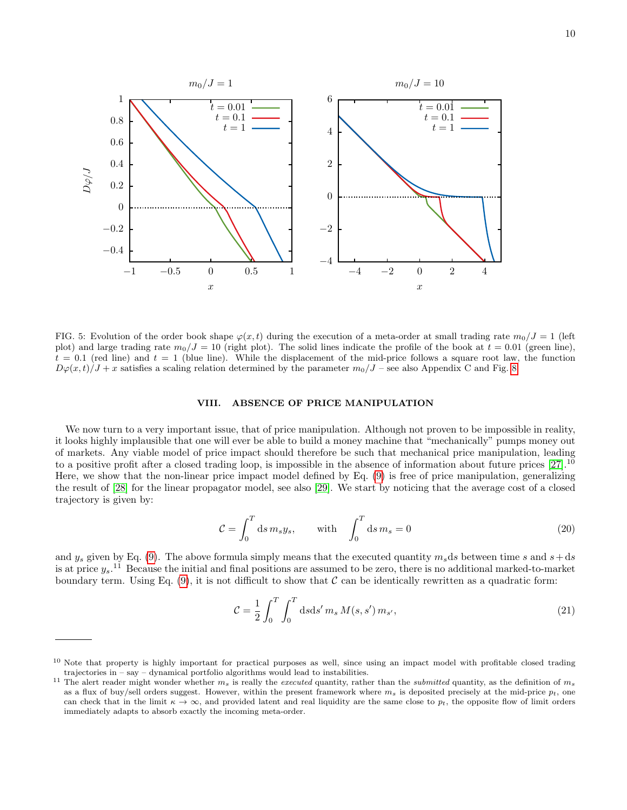

<span id="page-9-0"></span>FIG. 5: Evolution of the order book shape  $\varphi(x,t)$  during the execution of a meta-order at small trading rate  $m_0/J = 1$  (left plot) and large trading rate  $m_0/J = 10$  (right plot). The solid lines indicate the profile of the book at  $t = 0.01$  (green line),  $t = 0.1$  (red line) and  $t = 1$  (blue line). While the displacement of the mid-price follows a square root law, the function  $D\varphi(x,t)/J + x$  satisfies a scaling relation determined by the parameter  $m_0/J$  – see also Appendix C and Fig. [8.](#page-16-0)

### VIII. ABSENCE OF PRICE MANIPULATION

We now turn to a very important issue, that of price manipulation. Although not proven to be impossible in reality, it looks highly implausible that one will ever be able to build a money machine that "mechanically" pumps money out of markets. Any viable model of price impact should therefore be such that mechanical price manipulation, leading to a positive profit after a closed trading loop, is impossible in the absence of information about future prices  $[27]$ .<sup>10</sup> Here, we show that the non-linear price impact model defined by Eq. [\(9\)](#page-4-0) is free of price manipulation, generalizing the result of [\[28\]](#page-19-6) for the linear propagator model, see also [\[29\]](#page-19-7). We start by noticing that the average cost of a closed trajectory is given by:

$$
\mathcal{C} = \int_0^T ds \, m_s y_s, \qquad \text{with} \quad \int_0^T ds \, m_s = 0 \tag{20}
$$

and  $y_s$  given by Eq. [\(9\)](#page-4-0). The above formula simply means that the executed quantity  $m_s ds$  between time s and  $s+ds$ is at price  $y_s$ .<sup>11</sup> Because the initial and final positions are assumed to be zero, there is no additional marked-to-market boundary term. Using Eq.  $(9)$ , it is not difficult to show that C can be identically rewritten as a quadratic form:

$$
\mathcal{C} = \frac{1}{2} \int_0^T \int_0^T ds \, ds' \, m_s \, M(s, s') \, m_{s'}, \tag{21}
$$

 $10$  Note that property is highly important for practical purposes as well, since using an impact model with profitable closed trading trajectories in – say – dynamical portfolio algorithms would lead to instabilities.

<sup>&</sup>lt;sup>11</sup> The alert reader might wonder whether  $m_s$  is really the *executed* quantity, rather than the *submitted* quantity, as the definition of  $m_s$ as a flux of buy/sell orders suggest. However, within the present framework where  $m_s$  is deposited precisely at the mid-price  $p_t$ , one can check that in the limit  $\kappa \to \infty$ , and provided latent and real liquidity are the same close to  $p_t$ , the opposite flow of limit orders immediately adapts to absorb exactly the incoming meta-order.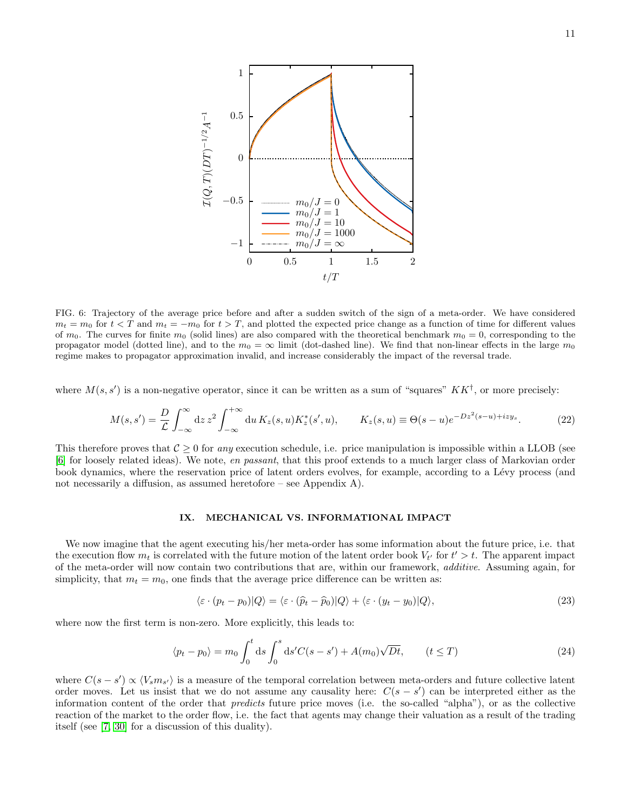

<span id="page-10-0"></span>FIG. 6: Trajectory of the average price before and after a sudden switch of the sign of a meta-order. We have considered  $m_t = m_0$  for  $t < T$  and  $m_t = -m_0$  for  $t > T$ , and plotted the expected price change as a function of time for different values of  $m_0$ . The curves for finite  $m_0$  (solid lines) are also compared with the theoretical benchmark  $m_0 = 0$ , corresponding to the propagator model (dotted line), and to the  $m_0 = \infty$  limit (dot-dashed line). We find that non-linear effects in the large  $m_0$ regime makes to propagator approximation invalid, and increase considerably the impact of the reversal trade.

where  $M(s, s')$  is a non-negative operator, since it can be written as a sum of "squares"  $KK^{\dagger}$ , or more precisely:

$$
M(s,s') = \frac{D}{\mathcal{L}} \int_{-\infty}^{\infty} dz \, z^2 \int_{-\infty}^{+\infty} du \, K_z(s,u) K_z^*(s',u), \qquad K_z(s,u) \equiv \Theta(s-u) e^{-Dz^2(s-u) + izy_s}.
$$
 (22)

This therefore proves that  $C \geq 0$  for any execution schedule, i.e. price manipulation is impossible within a LLOB (see [\[6\]](#page-18-2) for loosely related ideas). We note, en passant, that this proof extends to a much larger class of Markovian order book dynamics, where the reservation price of latent orders evolves, for example, according to a Lévy process (and not necessarily a diffusion, as assumed heretofore – see Appendix A).

# <span id="page-10-2"></span>IX. MECHANICAL VS. INFORMATIONAL IMPACT

We now imagine that the agent executing his/her meta-order has some information about the future price, i.e. that the execution flow  $m_t$  is correlated with the future motion of the latent order book  $V_t$  for  $t' > t$ . The apparent impact of the meta-order will now contain two contributions that are, within our framework, additive. Assuming again, for simplicity, that  $m_t = m_0$ , one finds that the average price difference can be written as:

$$
\langle \varepsilon \cdot (p_t - p_0) | Q \rangle = \langle \varepsilon \cdot (\widehat{p}_t - \widehat{p}_0) | Q \rangle + \langle \varepsilon \cdot (y_t - y_0) | Q \rangle, \tag{23}
$$

where now the first term is non-zero. More explicitly, this leads to:

<span id="page-10-1"></span>
$$
\langle p_t - p_0 \rangle = m_0 \int_0^t \mathrm{d}s \int_0^s \mathrm{d}s' C(s - s') + A(m_0) \sqrt{Dt}, \qquad (t \le T)
$$
 (24)

where  $C(s - s') \propto \langle V_s m_{s'} \rangle$  is a measure of the temporal correlation between meta-orders and future collective latent order moves. Let us insist that we do not assume any causality here:  $C(s - s')$  can be interpreted either as the information content of the order that predicts future price moves (i.e. the so-called "alpha"), or as the collective reaction of the market to the order flow, i.e. the fact that agents may change their valuation as a result of the trading itself (see [\[7,](#page-18-3) [30\]](#page-19-8) for a discussion of this duality).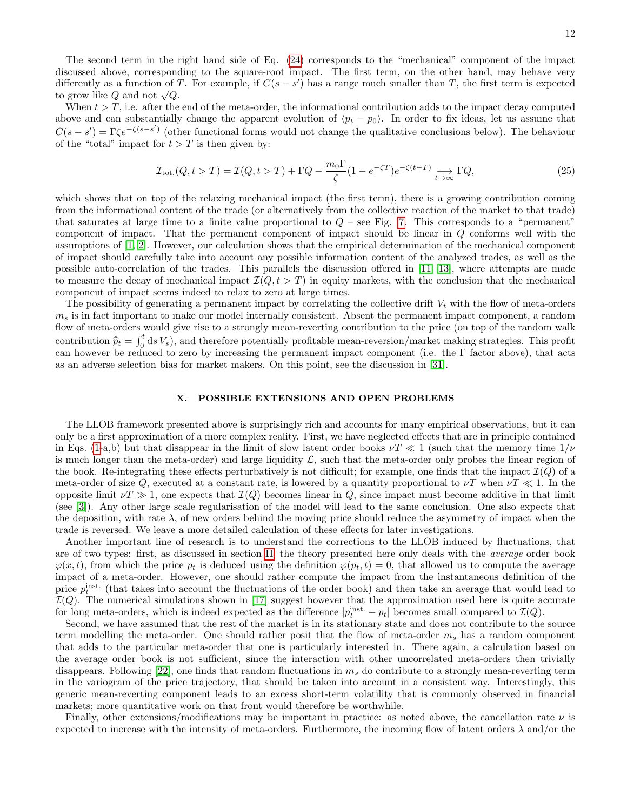The second term in the right hand side of Eq. [\(24\)](#page-10-1) corresponds to the "mechanical" component of the impact discussed above, corresponding to the square-root impact. The first term, on the other hand, may behave very differently as a function of T. For example, if  $C(s - s')$  has a range much smaller than T, the first term is expected to grow like  $Q$  and not  $\sqrt{Q}$ .

When  $t > T$ , i.e. after the end of the meta-order, the informational contribution adds to the impact decay computed above and can substantially change the apparent evolution of  $\langle p_t - p_0 \rangle$ . In order to fix ideas, let us assume that  $C(s - s') = \Gamma \zeta e^{-(s - s')}$  (other functional forms would not change the qualitative conclusions below). The behaviour of the "total" impact for  $t > T$  is then given by:

$$
\mathcal{I}_{\text{tot.}}(Q, t > T) = \mathcal{I}(Q, t > T) + \Gamma Q - \frac{m_0 \Gamma}{\zeta} (1 - e^{-\zeta T}) e^{-\zeta (t - T)} \underset{t \to \infty}{\longrightarrow} \Gamma Q,\tag{25}
$$

which shows that on top of the relaxing mechanical impact (the first term), there is a growing contribution coming from the informational content of the trade (or alternatively from the collective reaction of the market to that trade) that saturates at large time to a finite value proportional to  $Q$  – see Fig. [7.](#page-12-0) This corresponds to a "permanent" component of impact. That the permanent component of impact should be linear in Q conforms well with the assumptions of [\[1,](#page-18-0) [2\]](#page-18-1). However, our calculation shows that the empirical determination of the mechanical component of impact should carefully take into account any possible information content of the analyzed trades, as well as the possible auto-correlation of the trades. This parallels the discussion offered in [\[11,](#page-18-8) [13\]](#page-18-7), where attempts are made to measure the decay of mechanical impact  $\mathcal{I}(Q, t > T)$  in equity markets, with the conclusion that the mechanical component of impact seems indeed to relax to zero at large times.

The possibility of generating a permanent impact by correlating the collective drift  $V_t$  with the flow of meta-orders  $m<sub>s</sub>$  is in fact important to make our model internally consistent. Absent the permanent impact component, a random flow of meta-orders would give rise to a strongly mean-reverting contribution to the price (on top of the random walk contribution  $\hat{p}_t = \int_0^t ds V_s$ , and therefore potentially profitable mean-reversion/market making strategies. This profit can however be reduced to zero by increasing the permanent impact component (i.e. the Γ factor above), that acts as an adverse selection bias for market makers. On this point, see the discussion in [\[31\]](#page-19-9).

#### X. POSSIBLE EXTENSIONS AND OPEN PROBLEMS

The LLOB framework presented above is surprisingly rich and accounts for many empirical observations, but it can only be a first approximation of a more complex reality. First, we have neglected effects that are in principle contained in Eqs. [\(1-](#page-1-0)a,b) but that disappear in the limit of slow latent order books  $\nu T \ll 1$  (such that the memory time  $1/\nu$ is much longer than the meta-order) and large liquidity  $\mathcal{L}$ , such that the meta-order only probes the linear region of the book. Re-integrating these effects perturbatively is not difficult; for example, one finds that the impact  $\mathcal{I}(Q)$  of a meta-order of size Q, executed at a constant rate, is lowered by a quantity proportional to  $\nu T$  when  $\nu T \ll 1$ . In the opposite limit  $\nu T \gg 1$ , one expects that  $\mathcal{I}(Q)$  becomes linear in Q, since impact must become additive in that limit (see [\[3\]](#page-18-4)). Any other large scale regularisation of the model will lead to the same conclusion. One also expects that the deposition, with rate  $\lambda$ , of new orders behind the moving price should reduce the asymmetry of impact when the trade is reversed. We leave a more detailed calculation of these effects for later investigations.

Another important line of research is to understand the corrections to the LLOB induced by fluctuations, that are of two types: first, as discussed in section [II,](#page-1-1) the theory presented here only deals with the average order book  $\varphi(x, t)$ , from which the price  $p_t$  is deduced using the definition  $\varphi(p_t, t) = 0$ , that allowed us to compute the average impact of a meta-order. However, one should rather compute the impact from the instantaneous definition of the price  $p_t^{\text{inst.}}$  (that takes into account the fluctuations of the order book) and then take an average that would lead to  $\mathcal{I}(Q)$ . The numerical simulations shown in [\[17\]](#page-18-12) suggest however that the approximation used here is quite accurate for long meta-orders, which is indeed expected as the difference  $|p_t^{\text{inst.}} - p_t|$  becomes small compared to  $\mathcal{I}(Q)$ .

Second, we have assumed that the rest of the market is in its stationary state and does not contribute to the source term modelling the meta-order. One should rather posit that the flow of meta-order  $m_s$  has a random component that adds to the particular meta-order that one is particularly interested in. There again, a calculation based on the average order book is not sufficient, since the interaction with other uncorrelated meta-orders then trivially disappears. Following  $[22]$ , one finds that random fluctuations in  $m<sub>s</sub>$  do contribute to a strongly mean-reverting term in the variogram of the price trajectory, that should be taken into account in a consistent way. Interestingly, this generic mean-reverting component leads to an excess short-term volatility that is commonly observed in financial markets; more quantitative work on that front would therefore be worthwhile.

Finally, other extensions/modifications may be important in practice: as noted above, the cancellation rate  $\nu$  is expected to increase with the intensity of meta-orders. Furthermore, the incoming flow of latent orders  $\lambda$  and/or the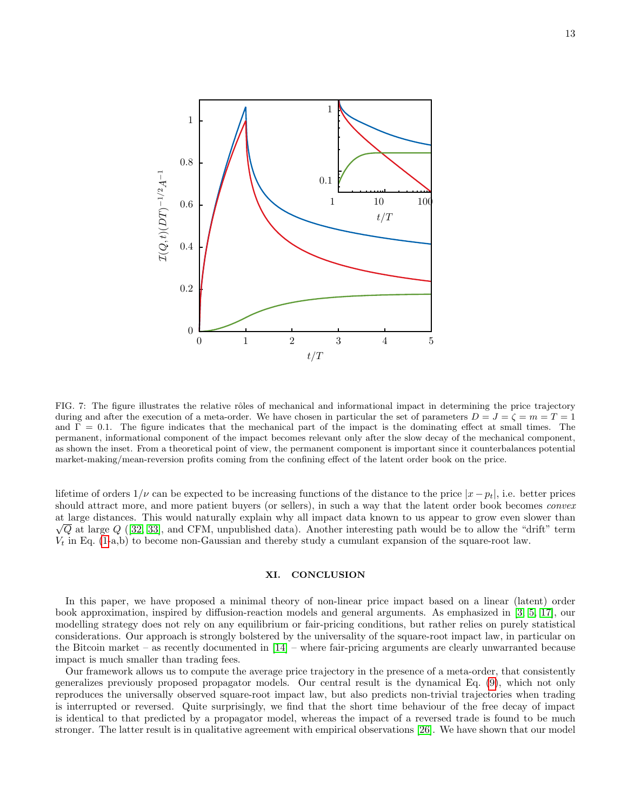

<span id="page-12-0"></span>FIG. 7: The figure illustrates the relative rôles of mechanical and informational impact in determining the price trajectory during and after the execution of a meta-order. We have chosen in particular the set of parameters  $D = J = \zeta = m = T = 1$ and  $\Gamma = 0.1$ . The figure indicates that the mechanical part of the impact is the dominating effect at small times. The permanent, informational component of the impact becomes relevant only after the slow decay of the mechanical component, as shown the inset. From a theoretical point of view, the permanent component is important since it counterbalances potential market-making/mean-reversion profits coming from the confining effect of the latent order book on the price.

lifetime of orders  $1/\nu$  can be expected to be increasing functions of the distance to the price  $|x - p_t|$ , i.e. better prices should attract more, and more patient buyers (or sellers), in such a way that the latent order book becomes *convex* at large distances. This would naturally explain why all impact data known to us appear to grow even slower than  $\sqrt{Q}$  at large  $Q$  ([\[32,](#page-19-10) [33\]](#page-19-11), and CFM, unpublished data). Another interesting path would be to allow the "drift" term  $V_t$  in Eq. [\(1-](#page-1-0)a,b) to become non-Gaussian and thereby study a cumulant expansion of the square-root law.

# XI. CONCLUSION

In this paper, we have proposed a minimal theory of non-linear price impact based on a linear (latent) order book approximation, inspired by diffusion-reaction models and general arguments. As emphasized in [\[3,](#page-18-4) [5,](#page-18-5) [17\]](#page-18-12), our modelling strategy does not rely on any equilibrium or fair-pricing conditions, but rather relies on purely statistical considerations. Our approach is strongly bolstered by the universality of the square-root impact law, in particular on the Bitcoin market – as recently documented in  $[14]$  – where fair-pricing arguments are clearly unwarranted because impact is much smaller than trading fees.

Our framework allows us to compute the average price trajectory in the presence of a meta-order, that consistently generalizes previously proposed propagator models. Our central result is the dynamical Eq. [\(9\)](#page-4-0), which not only reproduces the universally observed square-root impact law, but also predicts non-trivial trajectories when trading is interrupted or reversed. Quite surprisingly, we find that the short time behaviour of the free decay of impact is identical to that predicted by a propagator model, whereas the impact of a reversed trade is found to be much stronger. The latter result is in qualitative agreement with empirical observations [\[26\]](#page-19-4). We have shown that our model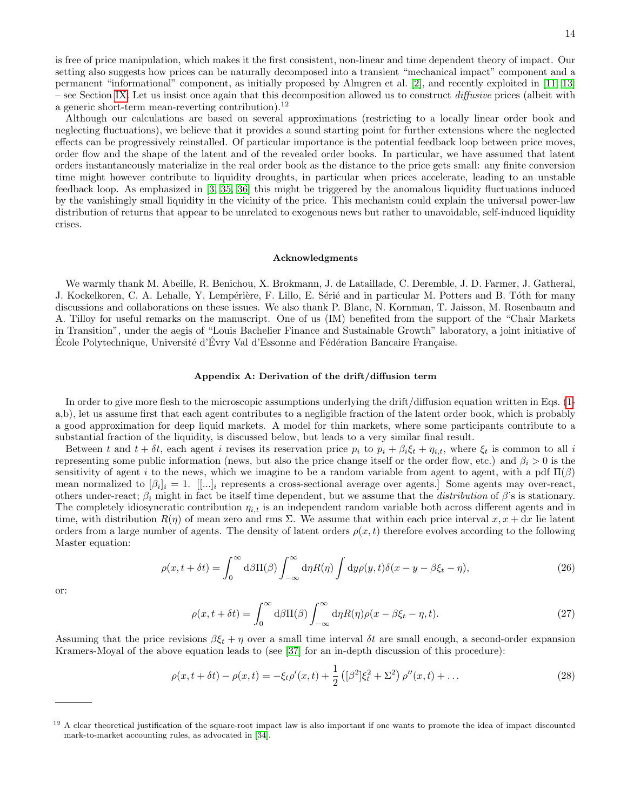Although our calculations are based on several approximations (restricting to a locally linear order book and neglecting fluctuations), we believe that it provides a sound starting point for further extensions where the neglected effects can be progressively reinstalled. Of particular importance is the potential feedback loop between price moves, order flow and the shape of the latent and of the revealed order books. In particular, we have assumed that latent orders instantaneously materialize in the real order book as the distance to the price gets small: any finite conversion time might however contribute to liquidity droughts, in particular when prices accelerate, leading to an unstable feedback loop. As emphasized in [\[3,](#page-18-4) [35,](#page-19-12) [36\]](#page-19-13) this might be triggered by the anomalous liquidity fluctuations induced by the vanishingly small liquidity in the vicinity of the price. This mechanism could explain the universal power-law distribution of returns that appear to be unrelated to exogenous news but rather to unavoidable, self-induced liquidity crises.

#### Acknowledgments

We warmly thank M. Abeille, R. Benichou, X. Brokmann, J. de Lataillade, C. Deremble, J. D. Farmer, J. Gatheral, J. Kockelkoren, C. A. Lehalle, Y. Lempérière, F. Lillo, E. Sérié and in particular M. Potters and B. Tóth for many discussions and collaborations on these issues. We also thank P. Blanc, N. Kornman, T. Jaisson, M. Rosenbaum and A. Tilloy for useful remarks on the manuscript. One of us (IM) benefited from the support of the "Chair Markets in Transition", under the aegis of "Louis Bachelier Finance and Sustainable Growth" laboratory, a joint initiative of Ecole Polytechnique, Université d'Evry Val d'Essonne and Fédération Bancaire Française.

# Appendix A: Derivation of the drift/diffusion term

In order to give more flesh to the microscopic assumptions underlying the drift/diffusion equation written in Eqs. [\(1](#page-1-0) a,b), let us assume first that each agent contributes to a negligible fraction of the latent order book, which is probably a good approximation for deep liquid markets. A model for thin markets, where some participants contribute to a substantial fraction of the liquidity, is discussed below, but leads to a very similar final result.

Between t and  $t + \delta t$ , each agent i revises its reservation price  $p_i$  to  $p_i + \beta_i \xi_t + \eta_{i,t}$ , where  $\xi_t$  is common to all i representing some public information (news, but also the price change itself or the order flow, etc.) and  $\beta_i > 0$  is the sensitivity of agent i to the news, which we imagine to be a random variable from agent to agent, with a pdf  $\Pi(\beta)$ mean normalized to  $[\beta_i]_i = 1$ .  $[[...]_i$  represents a cross-sectional average over agents.] Some agents may over-react, others under-react;  $\beta_i$  might in fact be itself time dependent, but we assume that the *distribution* of  $\beta$ 's is stationary. The completely idiosyncratic contribution  $\eta_{i,t}$  is an independent random variable both across different agents and in time, with distribution  $R(\eta)$  of mean zero and rms  $\Sigma$ . We assume that within each price interval  $x, x + dx$  lie latent orders from a large number of agents. The density of latent orders  $\rho(x,t)$  therefore evolves according to the following Master equation:

$$
\rho(x, t + \delta t) = \int_0^\infty d\beta \Pi(\beta) \int_{-\infty}^\infty d\eta R(\eta) \int d\eta \rho(y, t) \delta(x - y - \beta \xi_t - \eta), \tag{26}
$$

or:

$$
\rho(x, t + \delta t) = \int_0^\infty d\beta \Pi(\beta) \int_{-\infty}^\infty d\eta R(\eta) \rho(x - \beta \xi_t - \eta, t).
$$
\n(27)

Assuming that the price revisions  $\beta \xi_t + \eta$  over a small time interval  $\delta t$  are small enough, a second-order expansion Kramers-Moyal of the above equation leads to (see [\[37\]](#page-19-14) for an in-depth discussion of this procedure):

$$
\rho(x, t + \delta t) - \rho(x, t) = -\xi_t \rho'(x, t) + \frac{1}{2} \left( [\beta^2] \xi_t^2 + \Sigma^2 \right) \rho''(x, t) + \dots \tag{28}
$$

 $12$  A clear theoretical justification of the square-root impact law is also important if one wants to promote the idea of impact discounted mark-to-market accounting rules, as advocated in [\[34\]](#page-19-15).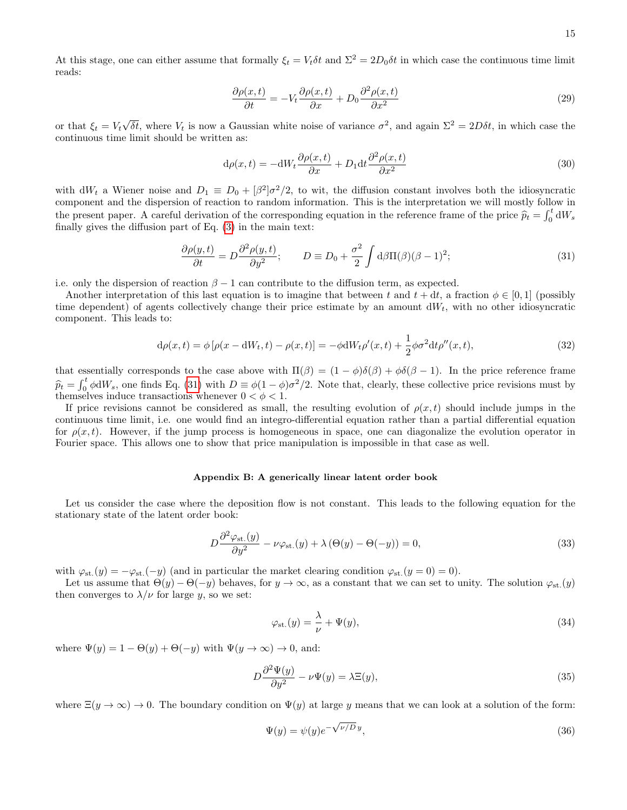At this stage, one can either assume that formally  $\xi_t = V_t \delta t$  and  $\Sigma^2 = 2D_0 \delta t$  in which case the continuous time limit reads:

$$
\frac{\partial \rho(x,t)}{\partial t} = -V_t \frac{\partial \rho(x,t)}{\partial x} + D_0 \frac{\partial^2 \rho(x,t)}{\partial x^2}
$$
\n(29)

or that  $\xi_t = V_t \sqrt{\delta t}$ , where  $V_t$  is now a Gaussian white noise of variance  $\sigma^2$ , and again  $\Sigma^2 = 2D\delta t$ , in which case the continuous time limit should be written as:

<span id="page-14-0"></span>
$$
d\rho(x,t) = -dW_t \frac{\partial \rho(x,t)}{\partial x} + D_1 dt \frac{\partial^2 \rho(x,t)}{\partial x^2}
$$
\n(30)

with  $dW_t$  a Wiener noise and  $D_1 \equiv D_0 + [\beta^2]\sigma^2/2$ , to wit, the diffusion constant involves both the idiosyncratic component and the dispersion of reaction to random information. This is the interpretation we will mostly follow in the present paper. A careful derivation of the corresponding equation in the reference frame of the price  $\hat{p}_t = \int_0^t dW_s$ finally gives the diffusion part of Eq. [\(3\)](#page-3-2) in the main text:

<span id="page-14-1"></span>
$$
\frac{\partial \rho(y,t)}{\partial t} = D \frac{\partial^2 \rho(y,t)}{\partial y^2}; \qquad D \equiv D_0 + \frac{\sigma^2}{2} \int d\beta \Pi(\beta) (\beta - 1)^2; \tag{31}
$$

i.e. only the dispersion of reaction  $\beta - 1$  can contribute to the diffusion term, as expected.

Another interpretation of this last equation is to imagine that between t and  $t + dt$ , a fraction  $\phi \in [0,1]$  (possibly time dependent) of agents collectively change their price estimate by an amount  $dW_t$ , with no other idiosyncratic component. This leads to:

$$
d\rho(x,t) = \phi \left[ \rho(x - dW_t, t) - \rho(x, t) \right] = -\phi dW_t \rho'(x, t) + \frac{1}{2} \phi \sigma^2 dt \rho''(x, t), \tag{32}
$$

that essentially corresponds to the case above with  $\Pi(\beta) = (1 - \phi)\delta(\beta) + \phi\delta(\beta - 1)$ . In the price reference frame  $\hat{p}_t = \int_0^t \phi \, dW_s$ , one finds Eq. [\(31\)](#page-14-1) with  $D \equiv \phi(1-\phi)\sigma^2/2$ . Note that, clearly, these collective price revisions must by  $p_t - f_0 \gamma \Delta w_s$ , one mass Eq. (01) with  $D = \gamma (1 - \gamma)$ ,<br>themselves induce transactions whenever  $0 < \phi < 1$ .

If price revisions cannot be considered as small, the resulting evolution of  $\rho(x, t)$  should include jumps in the continuous time limit, i.e. one would find an integro-differential equation rather than a partial differential equation for  $\rho(x, t)$ . However, if the jump process is homogeneous in space, one can diagonalize the evolution operator in Fourier space. This allows one to show that price manipulation is impossible in that case as well.

#### Appendix B: A generically linear latent order book

Let us consider the case where the deposition flow is not constant. This leads to the following equation for the stationary state of the latent order book:

$$
D\frac{\partial^2 \varphi_{\text{st.}}(y)}{\partial y^2} - \nu \varphi_{\text{st.}}(y) + \lambda \left(\Theta(y) - \Theta(-y)\right) = 0,\tag{33}
$$

with  $\varphi_{st.}(y) = -\varphi_{st.}(-y)$  (and in particular the market clearing condition  $\varphi_{st.}(y=0) = 0$ ).

Let us assume that  $\Theta(y) - \Theta(-y)$  behaves, for  $y \to \infty$ , as a constant that we can set to unity. The solution  $\varphi_{st.}(y)$ then converges to  $\lambda/\nu$  for large y, so we set:

$$
\varphi_{\rm st.}(y) = \frac{\lambda}{\nu} + \Psi(y),\tag{34}
$$

where  $\Psi(y) = 1 - \Theta(y) + \Theta(-y)$  with  $\Psi(y \to \infty) \to 0$ , and:

$$
D\frac{\partial^2 \Psi(y)}{\partial y^2} - \nu \Psi(y) = \lambda \Xi(y),\tag{35}
$$

where  $\Xi(y \to \infty) \to 0$ . The boundary condition on  $\Psi(y)$  at large y means that we can look at a solution of the form:

$$
\Psi(y) = \psi(y)e^{-\sqrt{\nu/D}y},\tag{36}
$$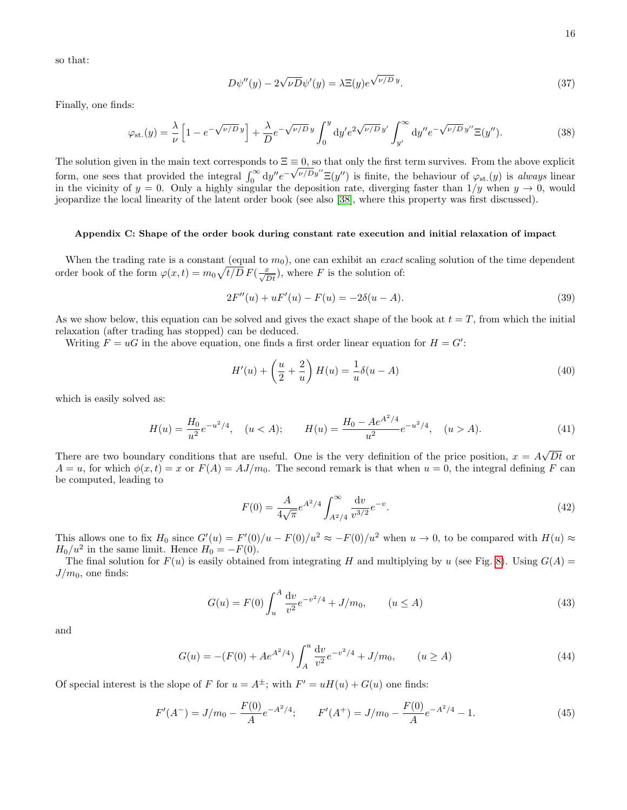so that:

$$
D\psi''(y) - 2\sqrt{\nu D}\psi'(y) = \lambda \Xi(y)e^{\sqrt{\nu/D}y}.
$$
\n(37)

Finally, one finds:

$$
\varphi_{\rm st.}(y) = \frac{\lambda}{\nu} \left[ 1 - e^{-\sqrt{\nu/D}y} \right] + \frac{\lambda}{D} e^{-\sqrt{\nu/D}y} \int_0^y \mathrm{d}y' e^{2\sqrt{\nu/D}y'} \int_{y'}^\infty \mathrm{d}y'' e^{-\sqrt{\nu/D}y''} \Xi(y''). \tag{38}
$$

The solution given in the main text corresponds to  $\Xi \equiv 0$ , so that only the first term survives. From the above explicit form, one sees that provided the integral  $\int_0^\infty dy'' e^{-\sqrt{\nu/D}y''} \Xi(y'')$  is finite, the behaviour of  $\varphi_{st}(y)$  is always linear in the vicinity of  $y = 0$ . Only a highly singular the deposition rate, diverging faster than  $1/y$  when  $y \to 0$ , would jeopardize the local linearity of the latent order book (see also [\[38\]](#page-19-16), where this property was first discussed).

#### Appendix C: Shape of the order book during constant rate execution and initial relaxation of impact

When the trading rate is a constant (equal to  $m_0$ ), one can exhibit an *exact* scaling solution of the time dependent order book of the form  $\varphi(x,t) = m_0 \sqrt{t/D} F(\frac{x}{\sqrt{Dt}})$ , where F is the solution of:

$$
2F''(u) + uF'(u) - F(u) = -2\delta(u - A).
$$
\n(39)

As we show below, this equation can be solved and gives the exact shape of the book at  $t = T$ , from which the initial relaxation (after trading has stopped) can be deduced.

Writing  $F = uG$  in the above equation, one finds a first order linear equation for  $H = G'$ :

$$
H'(u) + \left(\frac{u}{2} + \frac{2}{u}\right)H(u) = \frac{1}{u}\delta(u - A)
$$
\n(40)

which is easily solved as:

$$
H(u) = \frac{H_0}{u^2} e^{-u^2/4}, \quad (u < A); \qquad H(u) = \frac{H_0 - Ae^{A^2/4}}{u^2} e^{-u^2/4}, \quad (u > A). \tag{41}
$$

There are two boundary conditions that are useful. One is the very definition of the price position,  $x = A\sqrt{Dt}$  or  $A = u$ , for which  $\phi(x, t) = x$  or  $F(A) = AJ/m_0$ . The second remark is that when  $u = 0$ , the integral defining F can be computed, leading to

$$
F(0) = \frac{A}{4\sqrt{\pi}} e^{A^2/4} \int_{A^2/4}^{\infty} \frac{dv}{v^{3/2}} e^{-v}.
$$
\n(42)

This allows one to fix  $H_0$  since  $G'(u) = F'(0)/u - F(0)/u^2 \approx -F(0)/u^2$  when  $u \to 0$ , to be compared with  $H(u) \approx$  $H_0/u^2$  in the same limit. Hence  $H_0 = -F(0)$ .

The final solution for  $F(u)$  is easily obtained from integrating H and multiplying by u (see Fig. [8\)](#page-16-0). Using  $G(A)$  =  $J/m_0$ , one finds:

$$
G(u) = F(0) \int_{u}^{A} \frac{dv}{v^2} e^{-v^2/4} + J/m_0, \qquad (u \le A)
$$
\n(43)

and

$$
G(u) = -(F(0) + Ae^{A^2/4}) \int_A^u \frac{dv}{v^2} e^{-v^2/4} + J/m_0, \qquad (u \ge A)
$$
 (44)

Of special interest is the slope of F for  $u = A^{\pm}$ ; with  $F' = uH(u) + G(u)$  one finds:

$$
F'(A^-) = J/m_0 - \frac{F(0)}{A}e^{-A^2/4}; \qquad F'(A^+) = J/m_0 - \frac{F(0)}{A}e^{-A^2/4} - 1.
$$
 (45)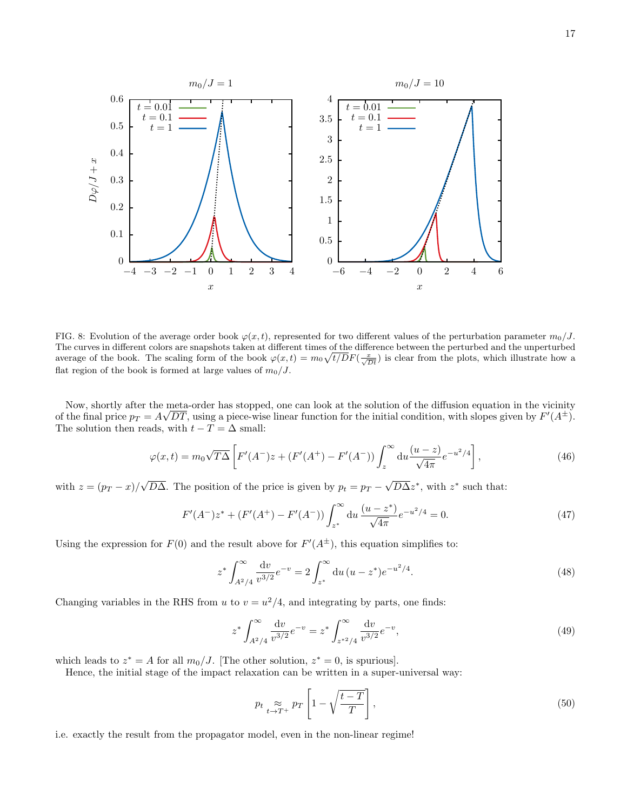

<span id="page-16-0"></span>FIG. 8: Evolution of the average order book  $\varphi(x, t)$ , represented for two different values of the perturbation parameter  $m_0/J$ . The curves in different colors are snapshots taken at different times of the difference between the perturbed and the unperturbed average of the book. The scaling form of the book  $\varphi(x,t) = m_0 \sqrt{t/D} F(\frac{x}{\sqrt{Dt}})$  is clear from the plots, which illustrate how a flat region of the book is formed at large values of  $m_0/J$ .

Now, shortly after the meta-order has stopped, one can look at the solution of the diffusion equation in the vicinity of the final price  $p_T = A\sqrt{DT}$ , using a piece-wise linear function for the initial condition, with slopes given by  $F'(A^{\pm})$ . The solution then reads, with  $t - T = \Delta$  small:

$$
\varphi(x,t) = m_0 \sqrt{T\Delta} \left[ F'(A^-)z + (F'(A^+) - F'(A^-)) \int_z^\infty \mathrm{d}u \frac{(u-z)}{\sqrt{4\pi}} e^{-u^2/4} \right],\tag{46}
$$

with  $z = (p_T - x)/\sqrt{D\Delta}$ . The position of the price is given by  $p_t = p_T - \sqrt{D\Delta}z^*$ , with  $z^*$  such that:

$$
F'(A^-)z^* + (F'(A^+) - F'(A^-)) \int_{z^*}^{\infty} du \, \frac{(u - z^*)}{\sqrt{4\pi}} e^{-u^2/4} = 0.
$$
 (47)

Using the expression for  $F(0)$  and the result above for  $F'(A^{\pm})$ , this equation simplifies to:

$$
z^* \int_{A^2/4}^{\infty} \frac{\mathrm{d}v}{v^{3/2}} e^{-v} = 2 \int_{z^*}^{\infty} \mathrm{d}u \, (u - z^*) e^{-u^2/4}.
$$
 (48)

Changing variables in the RHS from u to  $v = u^2/4$ , and integrating by parts, one finds:

$$
z^* \int_{A^2/4}^{\infty} \frac{dv}{v^{3/2}} e^{-v} = z^* \int_{z^{*2}/4}^{\infty} \frac{dv}{v^{3/2}} e^{-v}, \tag{49}
$$

which leads to  $z^* = A$  for all  $m_0/J$ . [The other solution,  $z^* = 0$ , is spurious].

Hence, the initial stage of the impact relaxation can be written in a super-universal way:

$$
p_t \underset{t \to T^+}{\approx} p_T \left[ 1 - \sqrt{\frac{t - T}{T}} \right],\tag{50}
$$

i.e. exactly the result from the propagator model, even in the non-linear regime!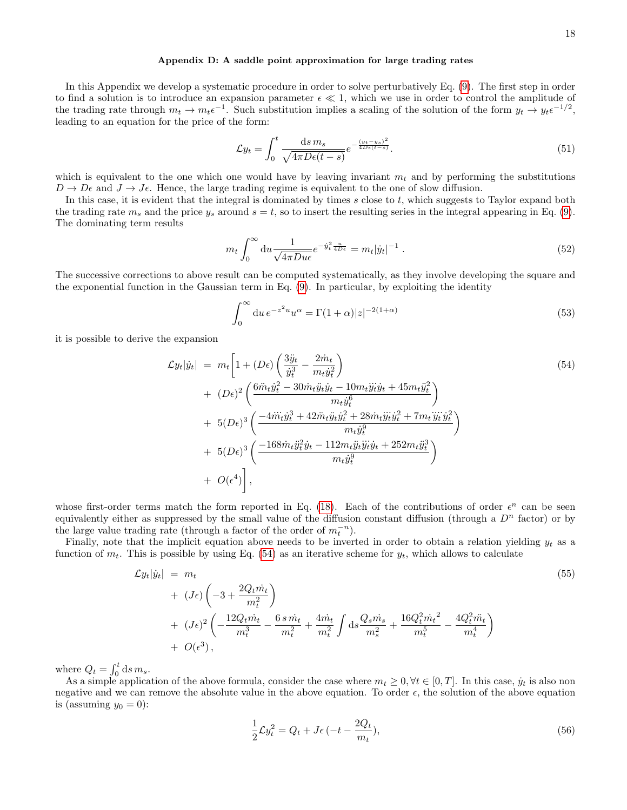#### Appendix D: A saddle point approximation for large trading rates

In this Appendix we develop a systematic procedure in order to solve perturbatively Eq. [\(9\)](#page-4-0). The first step in order to find a solution is to introduce an expansion parameter  $\epsilon \ll 1$ , which we use in order to control the amplitude of the trading rate through  $m_t \to m_t \epsilon^{-1}$ . Such substitution implies a scaling of the solution of the form  $y_t \to y_t \epsilon^{-1/2}$ , leading to an equation for the price of the form:

$$
\mathcal{L}y_t = \int_0^t \frac{\mathrm{d}s \, m_s}{\sqrt{4\pi D\epsilon(t-s)}} e^{-\frac{(y_t - y_s)^2}{4D\epsilon(t-s)}}.
$$
\n
$$
(51)
$$

which is equivalent to the one which one would have by leaving invariant  $m_t$  and by performing the substitutions  $D \to D\epsilon$  and  $J \to J\epsilon$ . Hence, the large trading regime is equivalent to the one of slow diffusion.

In this case, it is evident that the integral is dominated by times  $s$  close to  $t$ , which suggests to Taylor expand both the trading rate  $m_s$  and the price  $y_s$  around  $s = t$ , so to insert the resulting series in the integral appearing in Eq. [\(9\)](#page-4-0). The dominating term results

$$
m_t \int_0^\infty \mathrm{d}u \frac{1}{\sqrt{4\pi Du\epsilon}} e^{-\dot{y}_t^2 \frac{u}{4D\epsilon}} = m_t |\dot{y}_t|^{-1} \,. \tag{52}
$$

The successive corrections to above result can be computed systematically, as they involve developing the square and the exponential function in the Gaussian term in Eq. [\(9\)](#page-4-0). In particular, by exploiting the identity

$$
\int_0^\infty \mathrm{d}u \, e^{-z^2 u} u^\alpha = \Gamma(1+\alpha)|z|^{-2(1+\alpha)}\tag{53}
$$

it is possible to derive the expansion

<span id="page-17-0"></span>
$$
\mathcal{L}y_t|\dot{y}_t| = m_t \left[ 1 + (D\epsilon) \left( \frac{3\ddot{y}_t}{\dot{y}_t^3} - \frac{2\dot{m}_t}{m_t \dot{y}_t^2} \right) \right]
$$
\n
$$
+ (D\epsilon)^2 \left( \frac{6\ddot{m}_t \dot{y}_t^2 - 30\dot{m}_t \ddot{y}_t \dot{y}_t - 10m_t \ddot{y}_t \dot{y}_t + 45m_t \ddot{y}_t^2}{m_t \dot{y}_t^6} \right)
$$
\n
$$
+ 5(D\epsilon)^3 \left( \frac{-4\ddot{m}_t \dot{y}_t^3 + 42\ddot{m}_t \ddot{y}_t \dot{y}_t^2 + 28\dot{m}_t \ddot{y}_t \ddot{y}_t^2 + 7m_t \dddot{y}_t \ddot{y}_t^2}{m_t \dot{y}_t^3} \right)
$$
\n
$$
+ 5(D\epsilon)^3 \left( \frac{-168\dot{m}_t \ddot{y}_t^2 \dot{y}_t - 112m_t \ddot{y}_t \ddot{y}_t \ddot{y}_t + 252m_t \ddot{y}_t^3}{m_t \dot{y}_t^3} \right)
$$
\n
$$
+ O(\epsilon^4) \right],
$$
\n(54)

whose first-order terms match the form reported in Eq. [\(18\)](#page-8-1). Each of the contributions of order  $\epsilon^n$  can be seen equivalently either as suppressed by the small value of the diffusion constant diffusion (through a  $D^n$  factor) or by the large value trading rate (through a factor of the order of  $m_t^{-n}$ ).

Finally, note that the implicit equation above needs to be inverted in order to obtain a relation yielding  $y_t$  as a function of  $m_t$ . This is possible by using Eq. [\(54\)](#page-17-0) as an iterative scheme for  $y_t$ , which allows to calculate

$$
\mathcal{L}y_t|\dot{y}_t| = m_t
$$
\n
$$
+ (J\epsilon)\left(-3 + \frac{2Q_t\dot{m}_t}{m_t^2}\right)
$$
\n
$$
+ (J\epsilon)^2\left(-\frac{12Q_t\dot{m}_t}{m_t^3} - \frac{6\,\sin_t}{m_t^2} + \frac{4\dot{m}_t}{m_t^2}\int ds\frac{Q_s\dot{m}_s}{m_s^2} + \frac{16Q_t^2\dot{m}_t^2}{m_t^5} - \frac{4Q_t^2\ddot{m}_t}{m_t^4}\right)
$$
\n
$$
+ O(\epsilon^3),
$$
\n(55)

where  $Q_t = \int_0^t ds m_s$ .

As a simple application of the above formula, consider the case where  $m_t \geq 0, \forall t \in [0, T]$ . In this case,  $\dot{y}_t$  is also non negative and we can remove the absolute value in the above equation. To order  $\epsilon$ , the solution of the above equation is (assuming  $y_0 = 0$ ):

$$
\frac{1}{2}\mathcal{L}y_t^2 = Q_t + J\epsilon \left( -t - \frac{2Q_t}{m_t} \right),\tag{56}
$$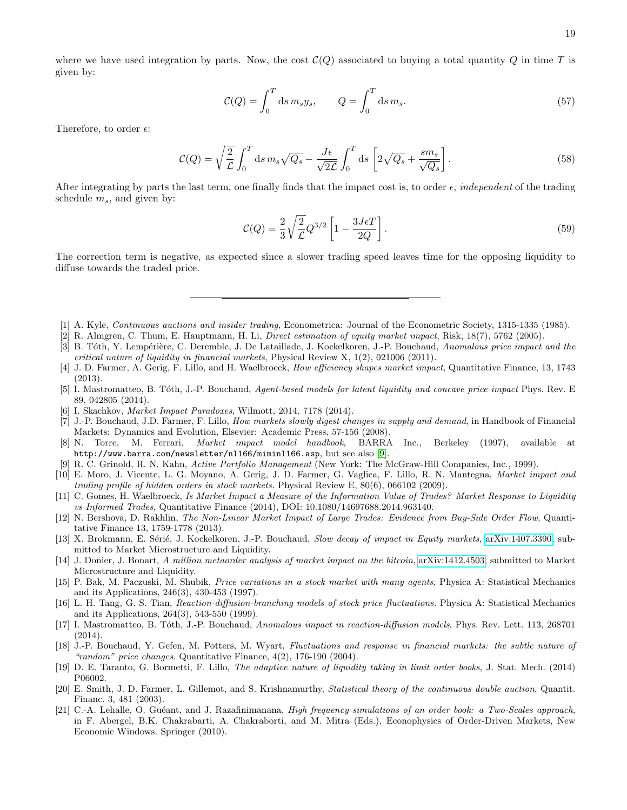where we have used integration by parts. Now, the cost  $\mathcal{C}(Q)$  associated to buying a total quantity Q in time T is given by:

$$
\mathcal{C}(Q) = \int_0^T ds \, m_s y_s, \qquad Q = \int_0^T ds \, m_s. \tag{57}
$$

Therefore, to order  $\epsilon$ :

$$
\mathcal{C}(Q) = \sqrt{\frac{2}{\mathcal{L}}} \int_0^T ds \, m_s \sqrt{Q_s} - \frac{J\epsilon}{\sqrt{2\mathcal{L}}} \int_0^T ds \left[ 2\sqrt{Q_s} + \frac{sm_s}{\sqrt{Q_s}} \right]. \tag{58}
$$

After integrating by parts the last term, one finally finds that the impact cost is, to order  $\epsilon$ , *independent* of the trading schedule  $m_s$ , and given by:

$$
\mathcal{C}(Q) = \frac{2}{3} \sqrt{\frac{2}{\mathcal{L}}} Q^{3/2} \left[ 1 - \frac{3J\epsilon T}{2Q} \right].
$$
\n
$$
(59)
$$

The correction term is negative, as expected since a slower trading speed leaves time for the opposing liquidity to diffuse towards the traded price.

- <span id="page-18-0"></span>[1] A. Kyle, Continuous auctions and insider trading, Econometrica: Journal of the Econometric Society, 1315-1335 (1985).
- <span id="page-18-1"></span>[2] R. Almgren, C. Thum, E. Hauptmann, H. Li, Direct estimation of equity market impact, Risk, 18(7), 5762 (2005).
- <span id="page-18-4"></span>[3] B. Tóth, Y. Lempérière, C. Deremble, J. De Lataillade, J. Kockelkoren, J.-P. Bouchaud, Anomalous price impact and the critical nature of liquidity in financial markets, Physical Review X, 1(2), 021006 (2011).
- [4] J. D. Farmer, A. Gerig, F. Lillo, and H. Waelbroeck, How efficiency shapes market impact, Quantitative Finance, 13, 1743 (2013).
- <span id="page-18-5"></span>[5] I. Mastromatteo, B. Tóth, J.-P. Bouchaud, Agent-based models for latent liquidity and concave price impact Phys. Rev. E 89, 042805 (2014).
- <span id="page-18-2"></span>[6] I. Skachkov, Market Impact Paradoxes, Wilmott, 2014, 7178 (2014).
- <span id="page-18-3"></span>[7] J.-P. Bouchaud, J.D. Farmer, F. Lillo, How markets slowly digest changes in supply and demand, in Handbook of Financial Markets: Dynamics and Evolution, Elsevier: Academic Press, 57-156 (2008).
- <span id="page-18-6"></span>[8] N. Torre, M. Ferrari, Market impact model handbook, BARRA Inc., Berkeley (1997), available at http://www.barra.com/newsletter/nl166/miminl166.asp, but see also [\[9\]](#page-18-17).
- <span id="page-18-17"></span>[9] R. C. Grinold, R. N. Kahn, Active Portfolio Management (New York: The McGraw-Hill Companies, Inc., 1999).
- [10] E. Moro, J. Vicente, L. G. Moyano, A. Gerig, J. D. Farmer, G. Vaglica, F. Lillo, R. N. Mantegna, Market impact and trading profile of hidden orders in stock markets. Physical Review E, 80(6), 066102 (2009).
- <span id="page-18-8"></span>[11] C. Gomes, H. Waelbroeck, Is Market Impact a Measure of the Information Value of Trades? Market Response to Liquidity vs Informed Trades, Quantitative Finance (2014), DOI: 10.1080/14697688.2014.963140.
- [12] N. Bershova, D. Rakhlin, The Non-Linear Market Impact of Large Trades: Evidence from Buy-Side Order Flow, Quantitative Finance 13, 1759-1778 (2013).
- <span id="page-18-7"></span>[13] X. Brokmann, E. Sérié, J. Kockelkoren, J.-P. Bouchaud, Slow decay of impact in Equity markets, [arXiv:1407.3390,](http://lanl.arxiv.org/abs/1407.3390) submitted to Market Microstructure and Liquidity.
- <span id="page-18-9"></span>[14] J. Donier, J. Bonart, A million metaorder analysis of market impact on the bitcoin, [arXiv:1412.4503,](http://lanl.arxiv.org/abs/1412.4503) submitted to Market Microstructure and Liquidity.
- <span id="page-18-10"></span>[15] P. Bak, M. Paczuski, M. Shubik, Price variations in a stock market with many agents, Physica A: Statistical Mechanics and its Applications, 246(3), 430-453 (1997).
- <span id="page-18-11"></span>[16] L. H. Tang, G. S. Tian, Reaction-diffusion-branching models of stock price fluctuations. Physica A: Statistical Mechanics and its Applications, 264(3), 543-550 (1999).
- <span id="page-18-12"></span>[17] I. Mastromatteo, B. Tóth, J.-P. Bouchaud, Anomalous impact in reaction-diffusion models, Phys. Rev. Lett. 113, 268701 (2014).
- <span id="page-18-13"></span>[18] J.-P. Bouchaud, Y. Gefen, M. Potters, M. Wyart, Fluctuations and response in financial markets: the subtle nature of "random" price changes. Quantitative Finance, 4(2), 176-190 (2004).
- <span id="page-18-14"></span>[19] D. E. Taranto, G. Bormetti, F. Lillo, The adaptive nature of liquidity taking in limit order books, J. Stat. Mech. (2014) P06002.
- <span id="page-18-15"></span>[20] E. Smith, J. D. Farmer, L. Gillemot, and S. Krishnamurthy, Statistical theory of the continuous double auction, Quantit. Financ. 3, 481 (2003).
- <span id="page-18-16"></span>[21] C.-A. Lehalle, O. Guéant, and J. Razafinimanana, *High frequency simulations of an order book: a Two-Scales approach*, in F. Abergel, B.K. Chakrabarti, A. Chakraborti, and M. Mitra (Eds.), Econophysics of Order-Driven Markets, New Economic Windows. Springer (2010).